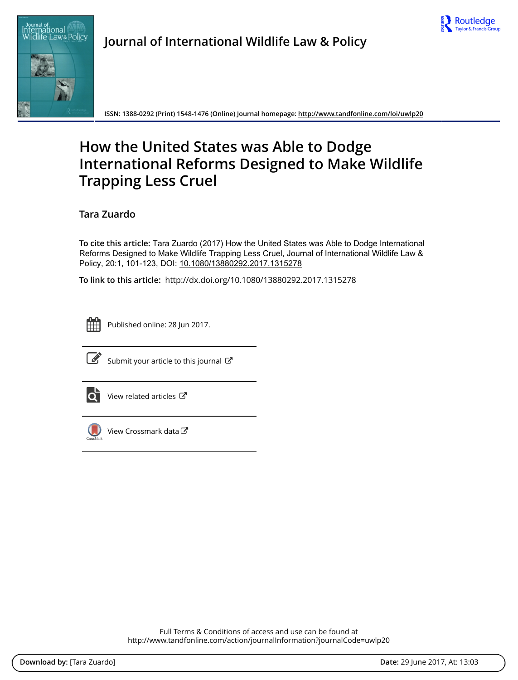



**Journal of International Wildlife Law & Policy**

**ISSN: 1388-0292 (Print) 1548-1476 (Online) Journal homepage:<http://www.tandfonline.com/loi/uwlp20>**

# **How the United States was Able to Dodge International Reforms Designed to Make Wildlife Trapping Less Cruel**

**Tara Zuardo**

**To cite this article:** Tara Zuardo (2017) How the United States was Able to Dodge International Reforms Designed to Make Wildlife Trapping Less Cruel, Journal of International Wildlife Law & Policy, 20:1, 101-123, DOI: [10.1080/13880292.2017.1315278](http://www.tandfonline.com/action/showCitFormats?doi=10.1080/13880292.2017.1315278)

**To link to this article:** <http://dx.doi.org/10.1080/13880292.2017.1315278>



Published online: 28 Jun 2017.



 $\overrightarrow{S}$  [Submit your article to this journal](http://www.tandfonline.com/action/authorSubmission?journalCode=uwlp20&show=instructions)  $\overrightarrow{S}$ 



 $\overrightarrow{Q}$  [View related articles](http://www.tandfonline.com/doi/mlt/10.1080/13880292.2017.1315278)  $\overrightarrow{C}$ 



[View Crossmark data](http://crossmark.crossref.org/dialog/?doi=10.1080/13880292.2017.1315278&domain=pdf&date_stamp=2017-06-28)

Full Terms & Conditions of access and use can be found at <http://www.tandfonline.com/action/journalInformation?journalCode=uwlp20>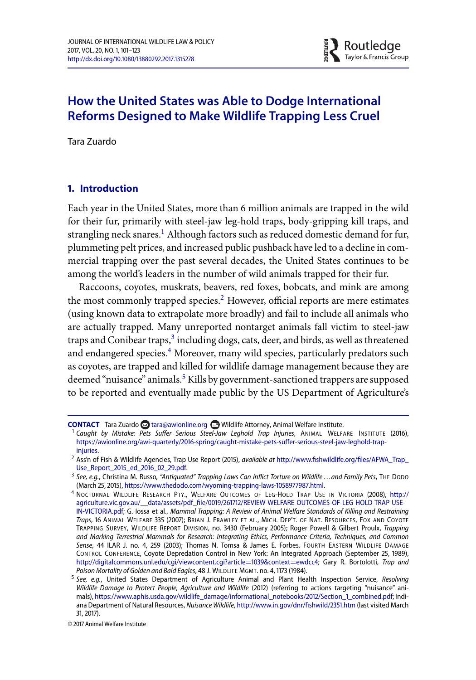# **How the United States was Able to Dodge International Reforms Designed to Make Wildlife Trapping Less Cruel**

Tara Zuardo

# **1. Introduction**

Each year in the United States, more than 6 million animals are trapped in the wild for their fur, primarily with steel-jaw leg-hold traps, body-gripping kill traps, and strangling neck snares.<sup>[1](#page-1-0)</sup> Although factors such as reduced domestic demand for fur, plummeting pelt prices, and increased public pushback have led to a decline in commercial trapping over the past several decades, the United States continues to be among the world's leaders in the number of wild animals trapped for their fur.

Raccoons, coyotes, muskrats, beavers, red foxes, bobcats, and mink are among the most commonly trapped species.<sup>[2](#page-1-1)</sup> However, official reports are mere estimates (using known data to extrapolate more broadly) and fail to include all animals who are actually trapped. Many unreported nontarget animals fall victim to steel-jaw traps and Conibear traps,<sup>[3](#page-1-2)</sup> including dogs, cats, deer, and birds, as well as threatened and endangered species.<sup>[4](#page-1-3)</sup> Moreover, many wild species, particularly predators such as coyotes, are trapped and killed for wildlife damage management because they are deemed "nuisance" animals.<sup>[5](#page-1-4)</sup> Kills by government-sanctioned trappers are supposed to be reported and eventually made public by the US Department of Agriculture's

**CONTACT** Tara Zuardo **x** [tara@awionline.org](mailto:tara@awionline.org) **contracts** Attorney, Animal Welfare Institute.

<span id="page-1-0"></span><sup>&</sup>lt;sup>1</sup> Caught by Mistake: Pets Suffer Serious Steel-Jaw Leghold Trap Injuries, ANIMAL WELFARE INSTITUTE (2016), https://awionline.org/awi-quarterly/2016-spring/caught-mistake-pets-suffer-serious-steel-jaw-leghold-trapinjuries.

<span id="page-1-1"></span><sup>&</sup>lt;sup>2</sup> Ass'n of Fish & Wildlife Agencies, Trap Use Report (2015), available at http://www.fishwildlife.org/files/AFWA\_Trap\_ Use\_Report\_2015\_ed\_2016\_02\_29.pdf.

<span id="page-1-2"></span><sup>&</sup>lt;sup>3</sup> See, e.g., Christina M. Russo, "Antiquated" Trapping Laws Can Inflict Torture on Wildlife ... and Family Pets, THE DODO (March 25, 2015), https://www.thedodo.com/wyoming-trapping-laws-1058977987.html.

<span id="page-1-3"></span><sup>&</sup>lt;sup>4</sup> NOCTURNAL WILDLIFE RESEARCH PTY., WELFARE OUTCOMES OF LEG-HOLD TRAP USE IN VICTORIA (2008), http:// agriculture.vic.gov.au/\_\_data/assets/pdf\_file/0019/261712/REVIEW-WELFARE-OUTCOMES-OF-LEG-HOLD-TRAP-USE-IN-VICTORIA.pdf; G. Iossa et al., Mammal Trapping: A Review of Animal Welfare Standards of Killing and Restraining Traps, 16 ANIMAL WELFARE 335 (2007); BRIAN J. FRAWLEY ET AL., MICH. DEP'T. OF NAT. RESOURCES, FOX AND COYOTE TRAPPING SURVEY, WILDLIFE REPORT DIVISION, no. 3430 (February 2005); Roger Powell & Gilbert Proulx, Trapping and Marking Terrestrial Mammals for Research: Integrating Ethics, Performance Criteria, Techniques, and Common Sense, 44 ILAR J. no. 4, 259 (2003); Thomas N. Tomsa & James E. Forbes, FOURTH EASTERN WILDLIFE DAMAGE CONTROL CONFERENCE, Coyote Depredation Control in New York: An Integrated Approach (September 25, 1989), [http://digitalcommons.unl.edu/cgi/viewcontent.cgi?article](http://digitalcommons.unl.edu/cgi/viewcontent.cgi?article=1039&context=ewdcc4)=1039&context=ewdcc4; Gary R. Bortolotti, Trap and Poison Mortality of Golden and Bald Eagles, 48 J. WILDLIFE MGMT. no. 4, 1173 (1984).

<span id="page-1-4"></span><sup>&</sup>lt;sup>5</sup> See, e.g., United States Department of Agriculture Animal and Plant Health Inspection Service, Resolving Wildlife Damage to Protect People, Agriculture and Wildlife (2012) (referring to actions targeting "nuisance" animals), https://www.aphis.usda.gov/wildlife\_damage/informational\_notebooks/2012/Section\_1\_combined.pdf; Indiana Department of Natural Resources, Nuisance Wildlife, http://www.in.gov/dnr/fishwild/2351.htm (last visited March 31, 2017).

<sup>© 2017</sup> Animal Welfare Institute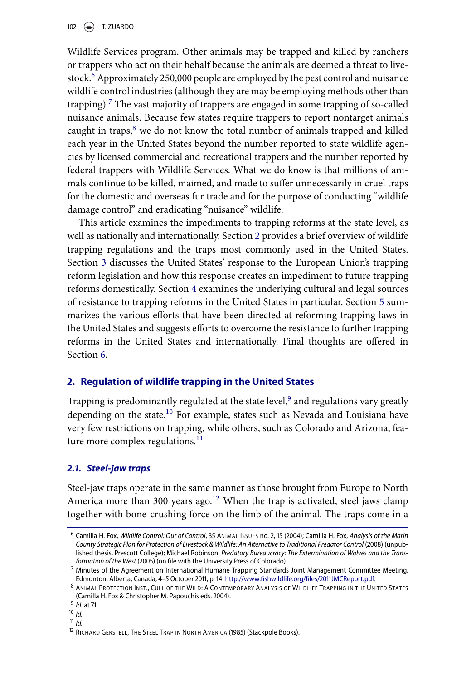#### 102 T. ZUARDO

Wildlife Services program. Other animals may be trapped and killed by ranchers or trappers who act on their behalf because the animals are deemed a threat to livestock.[6](#page-2-0) Approximately 250,000 people are employed by the pest control and nuisance wildlife control industries (although they are may be employing methods other than trapping).[7](#page-2-1) The vast majority of trappers are engaged in some trapping of so-called nuisance animals. Because few states require trappers to report nontarget animals caught in traps, $8$  we do not know the total number of animals trapped and killed each year in the United States beyond the number reported to state wildlife agencies by licensed commercial and recreational trappers and the number reported by federal trappers with Wildlife Services. What we do know is that millions of animals continue to be killed, maimed, and made to suffer unnecessarily in cruel traps for the domestic and overseas fur trade and for the purpose of conducting "wildlife damage control" and eradicating "nuisance" wildlife.

This article examines the impediments to trapping reforms at the state level, as well as nationally and internationally. Section [2](#page-2-3) provides a brief overview of wildlife trapping regulations and the traps most commonly used in the United States. Section [3](#page-7-0) discusses the United States' response to the European Union's trapping reform legislation and how this response creates an impediment to future trapping reforms domestically. Section [4](#page-13-0) examines the underlying cultural and legal sources of resistance to trapping reforms in the United States in particular. Section [5](#page-14-0) summarizes the various efforts that have been directed at reforming trapping laws in the United States and suggests efforts to overcome the resistance to further trapping reforms in the United States and internationally. Final thoughts are offered in Section [6.](#page-21-0)

# <span id="page-2-3"></span>**2. Regulation of wildlife trapping in the United States**

Trapping is predominantly regulated at the state level, $9$  and regulations vary greatly depending on the state.<sup>[10](#page-2-5)</sup> For example, states such as Nevada and Louisiana have very few restrictions on trapping, while others, such as Colorado and Arizona, feature more complex regulations. $^{11}$  $^{11}$  $^{11}$ 

#### *2.1. Steel-jaw traps*

Steel-jaw traps operate in the same manner as those brought from Europe to North America more than 300 years ago.<sup>[12](#page-2-7)</sup> When the trap is activated, steel jaws clamp together with bone-crushing force on the limb of the animal. The traps come in a

<span id="page-2-0"></span> $6$  Camilla H. Fox, Wildlife Control: Out of Control, 35 ANIMAL ISSUES no. 2, 15 (2004); Camilla H. Fox, Analysis of the Marin County Strategic Plan for Protection of Livestock & Wildlife: An Alternative to Traditional Predator Control (2008) (unpublished thesis, Prescott College); Michael Robinson, Predatory Bureaucracy: The Extermination of Wolves and the Transformation of the West (2005) (on file with the University Press of Colorado).

<span id="page-2-1"></span> $<sup>7</sup>$  Minutes of the Agreement on International Humane Trapping Standards Joint Management Committee Meeting,</sup> Edmonton, Alberta, Canada, 4-5 October 2011, p. 14: http://www.fishwildlife.org/files/2011JMCReport.pdf.

<span id="page-2-2"></span><sup>8</sup> ANIMAL PROTECTION INST., CULL OF THE WILD: A CONTEMPORARY ANALYSIS OF WILDLIFE TRAPPING IN THE UNITED STATES (Camilla H. Fox & Christopher M. Papouchis eds. 2004).

<span id="page-2-4"></span> $9$  *ld.* at 71.

<span id="page-2-5"></span> $10$  Id.

<span id="page-2-6"></span> $11$  *Id.* 

<span id="page-2-7"></span><sup>&</sup>lt;sup>12</sup> RICHARD GERSTELL, THE STEEL TRAP IN NORTH AMERICA (1985) (Stackpole Books).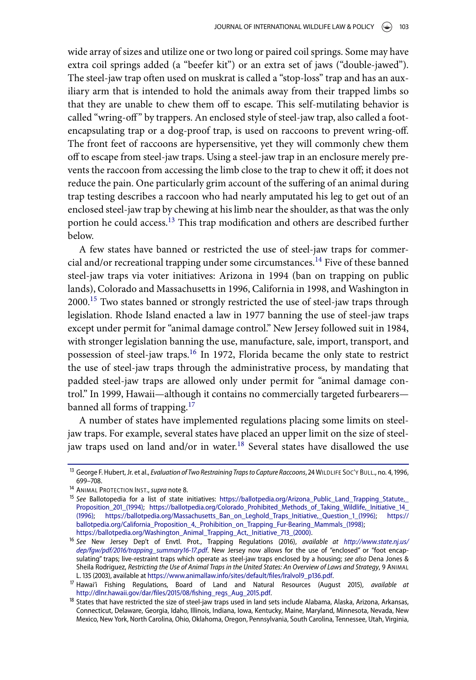wide array of sizes and utilize one or two long or paired coil springs. Some may have extra coil springs added (a "beefer kit") or an extra set of jaws ("double-jawed"). The steel-jaw trap often used on muskrat is called a "stop-loss" trap and has an auxiliary arm that is intended to hold the animals away from their trapped limbs so that they are unable to chew them off to escape. This self-mutilating behavior is called "wring-off" by trappers. An enclosed style of steel-jaw trap, also called a footencapsulating trap or a dog-proof trap, is used on raccoons to prevent wring-off. The front feet of raccoons are hypersensitive, yet they will commonly chew them off to escape from steel-jaw traps. Using a steel-jaw trap in an enclosure merely prevents the raccoon from accessing the limb close to the trap to chew it off; it does not reduce the pain. One particularly grim account of the suffering of an animal during trap testing describes a raccoon who had nearly amputated his leg to get out of an enclosed steel-jaw trap by chewing at his limb near the shoulder, as that was the only portion he could access.[13](#page-3-0) This trap modification and others are described further below.

A few states have banned or restricted the use of steel-jaw traps for commercial and/or recreational trapping under some circumstances.[14](#page-3-1) Five of these banned steel-jaw traps via voter initiatives: Arizona in 1994 (ban on trapping on public lands), Colorado and Massachusetts in 1996, California in 1998, and Washington in 2000.[15](#page-3-2) Two states banned or strongly restricted the use of steel-jaw traps through legislation. Rhode Island enacted a law in 1977 banning the use of steel-jaw traps except under permit for "animal damage control." New Jersey followed suit in 1984, with stronger legislation banning the use, manufacture, sale, import, transport, and possession of steel-jaw traps.[16](#page-3-3) In 1972, Florida became the only state to restrict the use of steel-jaw traps through the administrative process, by mandating that padded steel-jaw traps are allowed only under permit for "animal damage control." In 1999, Hawaii—although it contains no commercially targeted furbearers— banned all forms of trapping.<sup>[17](#page-3-4)</sup>

A number of states have implemented regulations placing some limits on steeljaw traps. For example, several states have placed an upper limit on the size of steel-jaw traps used on land and/or in water.<sup>[18](#page-3-5)</sup> Several states have disallowed the use

<span id="page-3-0"></span><sup>&</sup>lt;sup>13</sup> George F. Hubert, Jr. et al., Evaluation of Two Restraining Traps to Capture Raccoons, 24 WILDLIFE SOC'Y BULL., no. 4, 1996, 699-708.

<span id="page-3-1"></span><sup>&</sup>lt;sup>14</sup> ANIMAL PROTECTION INST., supra note 8.

<span id="page-3-2"></span><sup>&</sup>lt;sup>15</sup> See Ballotopedia for a list of state initiatives: https://ballotpedia.org/Arizona\_Public\_Land\_Trapping\_Statute, Proposition\_201\_(1994); https://ballotpedia.org/Colorado\_Prohibited\_Methods\_of\_Taking\_Wildlife,\_Initiative\_14\_ (1996); https://ballotpedia.org/Massachusetts\_Ban\_on\_Leghold\_Traps\_Initiative, Question\_1\_(1996); https:// ballotpedia.org/California\_Proposition\_4,\_Prohibition\_on\_Trapping\_Fur-Bearing\_Mammals\_(1998); https://ballotpedia.org/Washington\_Animal\_Trapping\_Act,\_Initiative\_713\_(2000).

<span id="page-3-3"></span><sup>&</sup>lt;sup>16</sup> See New Jersey Dep't of Envtl. Prot., Trapping Regulations (2016), *available at http://www.state.nj.us/* dep/fgw/pdf/2016/trapping\_summary16-17.pdf. New Jersey now allows for the use of "enclosed" or "foot encapsulating" traps; live-restraint traps which operate as steel-jaw traps enclosed by a housing; see also Dena Jones & Sheila Rodriguez, Restricting the Use of Animal Traps in the United States: An Overview of Laws and Strategy, 9 ANIMAL L. 135 (2003), available at https://www.animallaw.info/sites/default/files/lralvol9 p136.pdf.

<span id="page-3-4"></span> $17$  Hawai'i Fishing Regulations, Board of Land and Natural Resources (August 2015), available at http://dlnr.hawaii.gov/dar/files/2015/08/fishing\_regs\_Aug\_2015.pdf.

<span id="page-3-5"></span><sup>&</sup>lt;sup>18</sup> States that have restricted the size of steel-jaw traps used in land sets include Alabama, Alaska, Arizona, Arkansas, Connecticut, Delaware, Georgia, Idaho, Illinois, Indiana, Iowa, Kentucky, Maine, Maryland, Minnesota, Nevada, New Mexico, New York, North Carolina, Ohio, Oklahoma, Oregon, Pennsylvania, South Carolina, Tennessee, Utah, Virginia,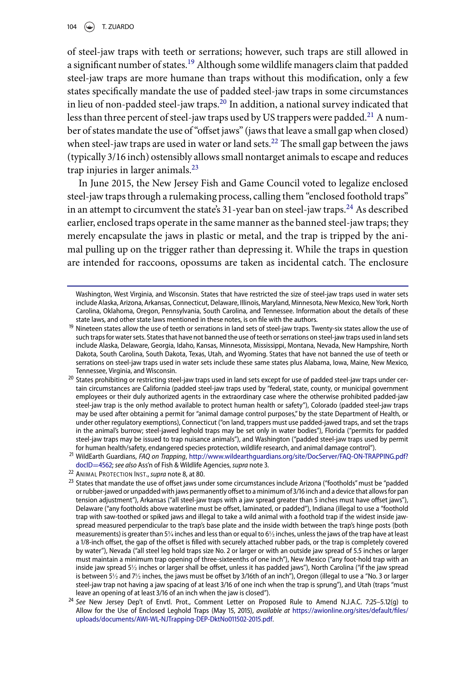of steel-jaw traps with teeth or serrations; however, such traps are still allowed in a significant number of states.<sup>[19](#page-4-0)</sup> Although some wildlife managers claim that padded steel-jaw traps are more humane than traps without this modification, only a few states specifically mandate the use of padded steel-jaw traps in some circumstances in lieu of non-padded steel-jaw traps.<sup>[20](#page-4-1)</sup> In addition, a national survey indicated that less than three percent of steel-jaw traps used by US trappers were padded.<sup>[21](#page-4-2)</sup> A number of states mandate the use of "offset jaws" (jaws that leave a small gap when closed) when steel-jaw traps are used in water or land sets.<sup>[22](#page-4-3)</sup> The small gap between the jaws (typically 3/16 inch) ostensibly allows small nontarget animals to escape and reduces trap injuries in larger animals.<sup>[23](#page-4-4)</sup>

In June 2015, the New Jersey Fish and Game Council voted to legalize enclosed steel-jaw traps through a rulemaking process, calling them "enclosed foothold traps" in an attempt to circumvent the state's  $31$ -year ban on steel-jaw traps.<sup>[24](#page-4-5)</sup> As described earlier, enclosed traps operate in the same manner as the banned steel-jaw traps; they merely encapsulate the jaws in plastic or metal, and the trap is tripped by the animal pulling up on the trigger rather than depressing it. While the traps in question are intended for raccoons, opossums are taken as incidental catch. The enclosure

Washington, West Virginia, and Wisconsin. States that have restricted the size of steel-jaw traps used in water sets include Alaska, Arizona, Arkansas, Connecticut, Delaware, Illinois, Maryland, Minnesota, New Mexico, New York, North Carolina, Oklahoma, Oregon, Pennsylvania, South Carolina, and Tennessee. Information about the details of these state laws, and other state laws mentioned in these notes, is on file with the authors.

<span id="page-4-0"></span><sup>&</sup>lt;sup>19</sup> Nineteen states allow the use of teeth or serrations in land sets of steel-jaw traps. Twenty-six states allow the use of such traps for water sets. States that have not banned the use of teeth or serrations on steel-jaw traps used in land sets include Alaska, Delaware, Georgia, Idaho, Kansas, Minnesota, Mississippi, Montana, Nevada, New Hampshire, North Dakota, South Carolina, South Dakota, Texas, Utah, and Wyoming. States that have not banned the use of teeth or serrations on steel-jaw traps used in water sets include these same states plus Alabama, Iowa, Maine, New Mexico, Tennessee, Virginia, and Wisconsin.

<span id="page-4-1"></span><sup>&</sup>lt;sup>20</sup> States prohibiting or restricting steel-jaw traps used in land sets except for use of padded steel-jaw traps under certain circumstances are California (padded steel-jaw traps used by "federal, state, county, or municipal government employees or their duly authorized agents in the extraordinary case where the otherwise prohibited padded-jaw steel-jaw trap is the only method available to protect human health or safety"), Colorado (padded steel-jaw traps may be used after obtaining a permit for "animal damage control purposes," by the state Department of Health, or under other regulatory exemptions), Connecticut ("on land, trappers must use padded-jawed traps, and set the traps in the animal's burrow; steel-jawed leghold traps may be set only in water bodies"), Florida ("permits for padded steel-jaw traps may be issued to trap nuisance animals"), and Washington ("padded steel-jaw traps used by permit for human health/safety, endangered species protection, wildlife research, and animal damage control").

<span id="page-4-2"></span><sup>&</sup>lt;sup>21</sup> WildEarth Guardians, FAQ on Trapping, [http://www.wildearthguardians.org/site/DocServer/FAQ-ON-TRAPPING.pdf?](http://www.wildearthguardians.org/site/DocServer/FAQ-ON-TRAPPING.pdf?docID=4562)<br>docID=4562; see also Ass'n of Fish & Wildlife Agencies, supra note 3.

<span id="page-4-3"></span><sup>&</sup>lt;sup>22</sup> ANIMAL PROTECTION INST., supra note 8, at 80.

<span id="page-4-4"></span> $23$  States that mandate the use of offset jaws under some circumstances include Arizona ("footholds" must be "padded or rubber-jawed or unpadded with jaws permanently offset to a minimum of 3/16 inch and a device that allows for pan tension adjustment"), Arkansas ("all steel-jaw traps with a jaw spread greater than 5 inches must have offset jaws"), Delaware ("any footholds above waterline must be offset, laminated, or padded"), Indiana (illegal to use a "foothold trap with saw-toothed or spiked jaws and illegal to take a wild animal with a foothold trap if the widest inside jawspread measured perpendicular to the trap's base plate and the inside width between the trap's hinge posts (both measurements) is greater than 5<sup>3</sup>/<sub>4</sub> inches and less than or equal to 6<sup>1</sup>/<sub>2</sub> inches, unless the jaws of the trap have at least a 1/8-inch offset, the gap of the offset is filled with securely attached rubber pads, or the trap is completely covered by water"), Nevada ("all steel leg hold traps size No. 2 or larger or with an outside jaw spread of 5.5 inches or larger must maintain a minimum trap opening of three-sixteenths of one inch"), New Mexico ("any foot-hold trap with an inside jaw spread ½ inches or larger shall be offset, unless it has padded jaws"), North Carolina ("if the jaw spread is between 5 $\frac{1}{2}$  and 7 $\frac{1}{2}$  inches, the jaws must be offset by 3/16th of an inch"), Oregon (illegal to use a "No. 3 or larger steel-jaw trap not having a jaw spacing of at least 3/16 of one inch when the trap is sprung"), and Utah (traps "must leave an opening of at least 3/16 of an inch when the jaw is closed").

<span id="page-4-5"></span><sup>&</sup>lt;sup>24</sup> See New Jersey Dep't of Envtl. Prot., Comment Letter on Proposed Rule to Amend N.J.A.C. 7:25-5.12(g) to Allow for the Use of Enclosed Leghold Traps (May 15, 2015), available at https://awionline.org/sites/default/files/ uploads/documents/AWI-WL-NJTrapping-DEP-DktNo011502-2015.pdf.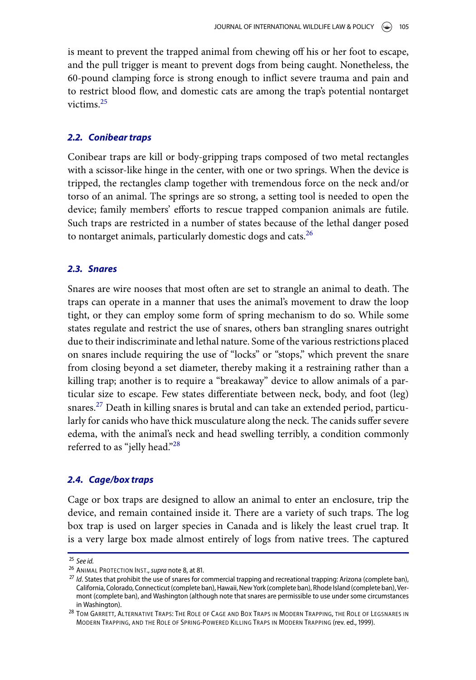is meant to prevent the trapped animal from chewing off his or her foot to escape, and the pull trigger is meant to prevent dogs from being caught. Nonetheless, the 60-pound clamping force is strong enough to inflict severe trauma and pain and to restrict blood flow, and domestic cats are among the trap's potential nontarget victims.[25](#page-5-0)

#### *2.2. Conibear traps*

Conibear traps are kill or body-gripping traps composed of two metal rectangles with a scissor-like hinge in the center, with one or two springs. When the device is tripped, the rectangles clamp together with tremendous force on the neck and/or torso of an animal. The springs are so strong, a setting tool is needed to open the device; family members' efforts to rescue trapped companion animals are futile. Such traps are restricted in a number of states because of the lethal danger posed to nontarget animals, particularly domestic dogs and cats.<sup>[26](#page-5-1)</sup>

#### *2.3. Snares*

Snares are wire nooses that most often are set to strangle an animal to death. The traps can operate in a manner that uses the animal's movement to draw the loop tight, or they can employ some form of spring mechanism to do so. While some states regulate and restrict the use of snares, others ban strangling snares outright due to their indiscriminate and lethal nature. Some of the various restrictions placed on snares include requiring the use of "locks" or "stops," which prevent the snare from closing beyond a set diameter, thereby making it a restraining rather than a killing trap; another is to require a "breakaway" device to allow animals of a particular size to escape. Few states differentiate between neck, body, and foot (leg) snares.<sup>[27](#page-5-2)</sup> Death in killing snares is brutal and can take an extended period, particularly for canids who have thick musculature along the neck. The canids suffer severe edema, with the animal's neck and head swelling terribly, a condition commonly referred to as "jelly head."[28](#page-5-3)

# *2.4. Cage/box traps*

Cage or box traps are designed to allow an animal to enter an enclosure, trip the device, and remain contained inside it. There are a variety of such traps. The log box trap is used on larger species in Canada and is likely the least cruel trap. It is a very large box made almost entirely of logs from native trees. The captured

<span id="page-5-0"></span> $25$  See id.

<span id="page-5-1"></span><sup>&</sup>lt;sup>26</sup> ANIMAL PROTECTION INST., supra note 8, at 81.

<span id="page-5-2"></span> $^{27}$  Id. States that prohibit the use of snares for commercial trapping and recreational trapping: Arizona (complete ban), California, Colorado, Connecticut (complete ban), Hawaii, New York (complete ban), Rhode Island (complete ban), Vermont (complete ban), and Washington (although note that snares are permissible to use under some circumstances in Washington).

<span id="page-5-3"></span><sup>28</sup> TOM GARRETT, ALTERNATIVE TRAPS: THE ROLE OF CAGE AND BOX TRAPS IN MODERN TRAPPING, THE ROLE OF LEGSNARES IN MODERN TRAPPING, AND THE ROLE OF SPRING-POWERED KILLING TRAPS IN MODERN TRAPPING (rev. ed., 1999).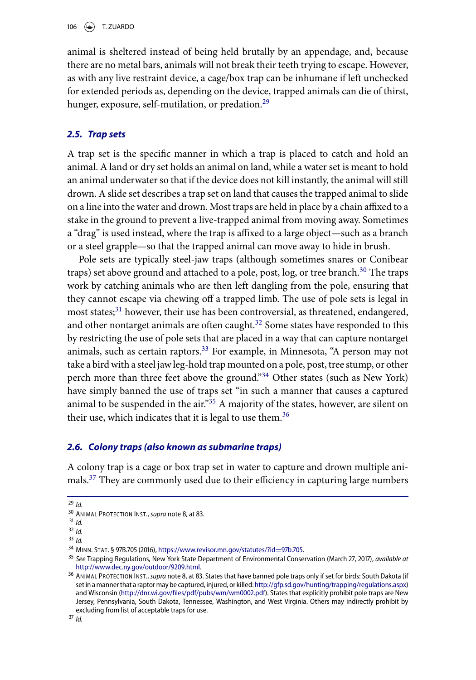animal is sheltered instead of being held brutally by an appendage, and, because there are no metal bars, animals will not break their teeth trying to escape. However, as with any live restraint device, a cage/box trap can be inhumane if left unchecked for extended periods as, depending on the device, trapped animals can die of thirst, hunger, exposure, self-mutilation, or predation.<sup>[29](#page-6-0)</sup>

# *2.5. Trap sets*

A trap set is the specific manner in which a trap is placed to catch and hold an animal. A land or dry set holds an animal on land, while a water set is meant to hold an animal underwater so that if the device does not kill instantly, the animal will still drown. A slide set describes a trap set on land that causes the trapped animal to slide on a line into the water and drown. Most traps are held in place by a chain affixed to a stake in the ground to prevent a live-trapped animal from moving away. Sometimes a "drag" is used instead, where the trap is affixed to a large object—such as a branch or a steel grapple—so that the trapped animal can move away to hide in brush.

Pole sets are typically steel-jaw traps (although sometimes snares or Conibear traps) set above ground and attached to a pole, post, log, or tree branch.<sup>[30](#page-6-1)</sup> The traps work by catching animals who are then left dangling from the pole, ensuring that they cannot escape via chewing off a trapped limb. The use of pole sets is legal in most states;<sup>[31](#page-6-2)</sup> however, their use has been controversial, as threatened, endangered, and other nontarget animals are often caught.<sup>[32](#page-6-3)</sup> Some states have responded to this by restricting the use of pole sets that are placed in a way that can capture nontarget animals, such as certain raptors.<sup>[33](#page-6-4)</sup> For example, in Minnesota, "A person may not take a bird with a steel jaw leg-hold trap mounted on a pole, post, tree stump, or other perch more than three feet above the ground."[34](#page-6-5) Other states (such as New York) have simply banned the use of traps set "in such a manner that causes a captured animal to be suspended in the air."[35](#page-6-6) A majority of the states, however, are silent on their use, which indicates that it is legal to use them.<sup>[36](#page-6-7)</sup>

# *2.6. Colony traps (also known as submarine traps)*

A colony trap is a cage or box trap set in water to capture and drown multiple animals.[37](#page-6-8) They are commonly used due to their efficiency in capturing large numbers

<span id="page-6-0"></span> $29$  Id.

<span id="page-6-1"></span><sup>&</sup>lt;sup>30</sup> ANIMAL PROTECTION INST., supra note 8, at 83.

<span id="page-6-2"></span> $31$  Id.

<span id="page-6-3"></span> $32$  Id.

<span id="page-6-5"></span>

<span id="page-6-4"></span><sup>33</sup> *Id.*<br>34 MINN. STAT. § 97B.705 (2016), https://www.revisor.mn.gov/statutes/?id=97b.705.

<span id="page-6-6"></span><sup>&</sup>lt;sup>35</sup> See Trapping Regulations, New York State Department of Environmental Conservation (March 27, 2017), available at http://www.dec.ny.gov/outdoor/9209.html.

<span id="page-6-8"></span><span id="page-6-7"></span><sup>36</sup> ANIMAL PROTECTION INST., supra note 8, at 83. States that have banned pole traps only if set for birds: South Dakota (if set in a manner that a raptor may be captured, injured, or killed: [http://gfp.sd.gov/hunting/trapping/regulations.aspx\)](http://gfp.sd.gov/hunting/trapping/regulations.aspx) and Wisconsin (http://dnr.wi.gov/files/pdf/pubs/wm/wm0002.pdf). States that explicitly prohibit pole traps are New Jersey, Pennsylvania, South Dakota, Tennessee, Washington, and West Virginia. Others may indirectly prohibit by excluding from list of acceptable traps for use.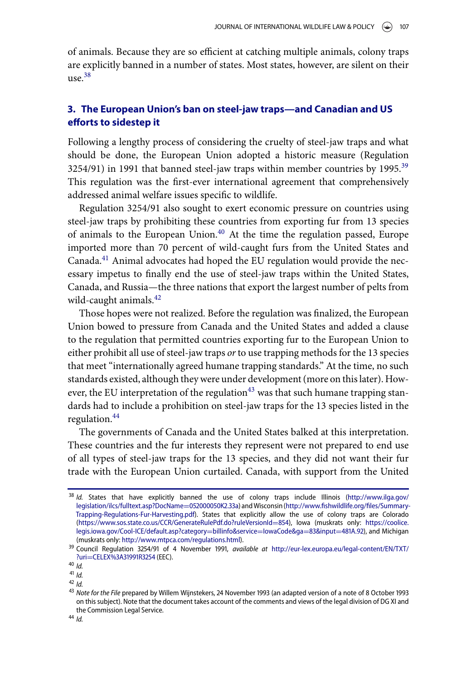of animals. Because they are so efficient at catching multiple animals, colony traps are explicitly banned in a number of states. Most states, however, are silent on their use.[38](#page-7-1)

# <span id="page-7-0"></span>**3. The European Union's ban on steel-jaw traps—and Canadian and US efforts to sidestep it**

Following a lengthy process of considering the cruelty of steel-jaw traps and what should be done, the European Union adopted a historic measure (Regulation  $3254/91$ ) in 1991 that banned steel-jaw traps within member countries by 1995.<sup>[39](#page-7-2)</sup> This regulation was the first-ever international agreement that comprehensively addressed animal welfare issues specific to wildlife.

Regulation 3254/91 also sought to exert economic pressure on countries using steel-jaw traps by prohibiting these countries from exporting fur from 13 species of animals to the European Union.<sup>[40](#page-7-3)</sup> At the time the regulation passed, Europe imported more than 70 percent of wild-caught furs from the United States and Canada.[41](#page-7-4) Animal advocates had hoped the EU regulation would provide the necessary impetus to finally end the use of steel-jaw traps within the United States, Canada, and Russia—the three nations that export the largest number of pelts from wild-caught animals.<sup>[42](#page-7-5)</sup>

Those hopes were not realized. Before the regulation was finalized, the European Union bowed to pressure from Canada and the United States and added a clause to the regulation that permitted countries exporting fur to the European Union to either prohibit all use of steel-jaw traps *or* to use trapping methods for the 13 species that meet "internationally agreed humane trapping standards." At the time, no such standards existed, although they were under development (more on this later). How-ever, the EU interpretation of the regulation<sup>[43](#page-7-6)</sup> was that such humane trapping standards had to include a prohibition on steel-jaw traps for the 13 species listed in the regulation.[44](#page-7-7)

The governments of Canada and the United States balked at this interpretation. These countries and the fur interests they represent were not prepared to end use of all types of steel-jaw traps for the 13 species, and they did not want their fur trade with the European Union curtailed. Canada, with support from the United

<span id="page-7-7"></span> $44$  Id.

<span id="page-7-1"></span><sup>&</sup>lt;sup>38</sup> Id. [States that have explicitly banned the use of colony traps include Illinois \(http://www.ilga.gov/](http://www.ilga.gov/legislation/ilcs/fulltext.asp?DocName=052000050K2.33a) legislation/ilcs/fulltext.asp?DocName=052000050K2.33a) and Wisconsin (http://www.fishwildlife.org/files/Summary-[Trapping-Regulations-Fur-Harvesting.pdf\). States that explicitly allow the use of colony traps are Colorado](http://www.fishwildlife.org/files/Summary-Trapping-Regulations-Fur-Harvesting.pdf) [\(](https://coolice.legis.iowa.gov/Cool-ICE/default.asp?category=billinfo&service=IowaCode&ga=83&input=481A.92)[https://www.sos.state.co.us/CCR/GenerateRulePdf.do?ruleVersionId](https://www.sos.state.co.us/CCR/GenerateRulePdf.do?ruleVersionId=854)=854), Iowa (muskrats only: https://coolice. legis.iowa.gov/Cool-ICE/default.asp?category=billinfo&service=IowaCode&ga=83&input=481A.92), and Michigan (muskrats only: [http://www.mtpca.com/regulations.html\)](http://www.mtpca.com/regulations.html).

<span id="page-7-2"></span><sup>&</sup>lt;sup>39</sup> Council Requlation 3254/91 of 4 November 1991, available at http://eur-lex.europa.eu/legal-content/EN/TXT/ ?uri=CELEX%3A31991R3254 (EEC).<br>40 Id.

<span id="page-7-3"></span>

<span id="page-7-4"></span> $41$  Id.

<span id="page-7-5"></span> $42$  Id.

<span id="page-7-6"></span><sup>&</sup>lt;sup>43</sup> Note for the File prepared by Willem Wijnstekers, 24 November 1993 (an adapted version of a note of 8 October 1993 on this subject). Note that the document takes account of the comments and views of the legal division of DG XI and the Commission Legal Service.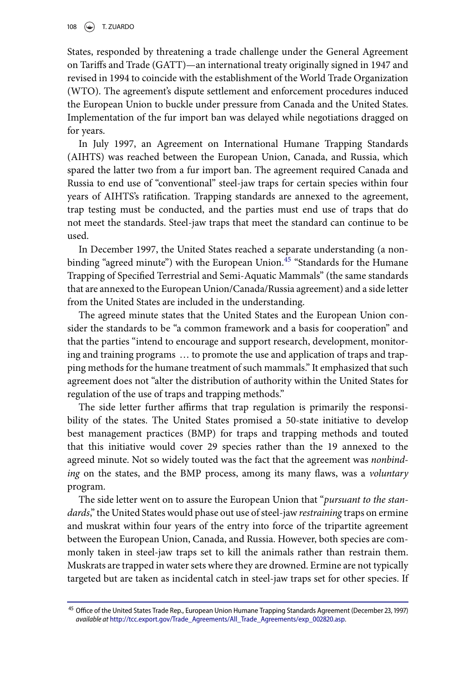States, responded by threatening a trade challenge under the General Agreement on Tariffs and Trade (GATT)—an international treaty originally signed in 1947 and revised in 1994 to coincide with the establishment of the World Trade Organization (WTO). The agreement's dispute settlement and enforcement procedures induced the European Union to buckle under pressure from Canada and the United States. Implementation of the fur import ban was delayed while negotiations dragged on for years.

In July 1997, an Agreement on International Humane Trapping Standards (AIHTS) was reached between the European Union, Canada, and Russia, which spared the latter two from a fur import ban. The agreement required Canada and Russia to end use of "conventional" steel-jaw traps for certain species within four years of AIHTS's ratification. Trapping standards are annexed to the agreement, trap testing must be conducted, and the parties must end use of traps that do not meet the standards. Steel-jaw traps that meet the standard can continue to be used.

In December 1997, the United States reached a separate understanding (a non-binding "agreed minute") with the European Union.<sup>[45](#page-8-0)</sup> "Standards for the Humane Trapping of Specified Terrestrial and Semi-Aquatic Mammals" (the same standards that are annexed to the European Union/Canada/Russia agreement) and a side letter from the United States are included in the understanding.

The agreed minute states that the United States and the European Union consider the standards to be "a common framework and a basis for cooperation" and that the parties "intend to encourage and support research, development, monitoring and training programs … to promote the use and application of traps and trapping methods for the humane treatment of such mammals." It emphasized that such agreement does not "alter the distribution of authority within the United States for regulation of the use of traps and trapping methods."

The side letter further affirms that trap regulation is primarily the responsibility of the states. The United States promised a 50-state initiative to develop best management practices (BMP) for traps and trapping methods and touted that this initiative would cover 29 species rather than the 19 annexed to the agreed minute. Not so widely touted was the fact that the agreement was *nonbinding* on the states, and the BMP process, among its many flaws, was a *voluntary* program.

The side letter went on to assure the European Union that "*pursuant to the standards*," the United States would phase out use of steel-jaw*restraining* traps on ermine and muskrat within four years of the entry into force of the tripartite agreement between the European Union, Canada, and Russia. However, both species are commonly taken in steel-jaw traps set to kill the animals rather than restrain them. Muskrats are trapped in water sets where they are drowned. Ermine are not typically targeted but are taken as incidental catch in steel-jaw traps set for other species. If

<span id="page-8-0"></span><sup>&</sup>lt;sup>45</sup> Office of the United States Trade Rep., European Union Humane Trapping Standards Agreement (December 23, 1997) available at http://tcc.export.gov/Trade\_Agreements/All\_Trade\_Agreements/exp\_002820.asp.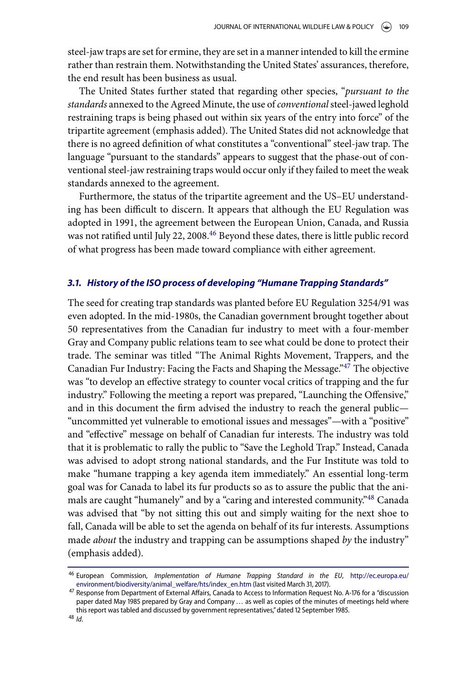steel-jaw traps are set for ermine, they are set in a manner intended to kill the ermine rather than restrain them. Notwithstanding the United States' assurances, therefore, the end result has been business as usual.

The United States further stated that regarding other species, "*pursuant to the standards* annexed to the Agreed Minute, the use of*conventional*steel-jawed leghold restraining traps is being phased out within six years of the entry into force" of the tripartite agreement (emphasis added). The United States did not acknowledge that there is no agreed definition of what constitutes a "conventional" steel-jaw trap. The language "pursuant to the standards" appears to suggest that the phase-out of conventional steel-jaw restraining traps would occur only if they failed to meet the weak standards annexed to the agreement.

Furthermore, the status of the tripartite agreement and the US–EU understanding has been difficult to discern. It appears that although the EU Regulation was adopted in 1991, the agreement between the European Union, Canada, and Russia was not ratified until July 22, 2008.<sup>[46](#page-9-0)</sup> Beyond these dates, there is little public record of what progress has been made toward compliance with either agreement.

# *3.1. History of the ISO process of developing "Humane Trapping Standards"*

The seed for creating trap standards was planted before EU Regulation 3254/91 was even adopted. In the mid-1980s, the Canadian government brought together about 50 representatives from the Canadian fur industry to meet with a four-member Gray and Company public relations team to see what could be done to protect their trade. The seminar was titled "The Animal Rights Movement, Trappers, and the Canadian Fur Industry: Facing the Facts and Shaping the Message."[47](#page-9-1) The objective was "to develop an effective strategy to counter vocal critics of trapping and the fur industry." Following the meeting a report was prepared, "Launching the Offensive," and in this document the firm advised the industry to reach the general public— "uncommitted yet vulnerable to emotional issues and messages"—with a "positive" and "effective" message on behalf of Canadian fur interests. The industry was told that it is problematic to rally the public to "Save the Leghold Trap." Instead, Canada was advised to adopt strong national standards, and the Fur Institute was told to make "humane trapping a key agenda item immediately." An essential long-term goal was for Canada to label its fur products so as to assure the public that the animals are caught "humanely" and by a "caring and interested community."[48](#page-9-2) Canada was advised that "by not sitting this out and simply waiting for the next shoe to fall, Canada will be able to set the agenda on behalf of its fur interests. Assumptions made *about* the industry and trapping can be assumptions shaped *by* the industry" (emphasis added).

<span id="page-9-0"></span><sup>&</sup>lt;sup>46</sup> European Commission, [Implementation of Humane Trapping Standard in the EU](http://ec.europa.eu/environment/biodiversity/animal_welfare/hts/index_en.htm), http://ec.europa.eu/ environment/biodiversity/animal\_welfare/hts/index\_en.htm (last visited March 31, 2017).

<span id="page-9-2"></span><span id="page-9-1"></span><sup>47</sup> Response from Department of External Affairs, Canada to Access to Information Request No. A-176 for a "discussion paper dated May 1985 prepared by Gray and Company ... as well as copies of the minutes of meetings held where this report was tabled and discussed by government representatives," dated 12 September 1985.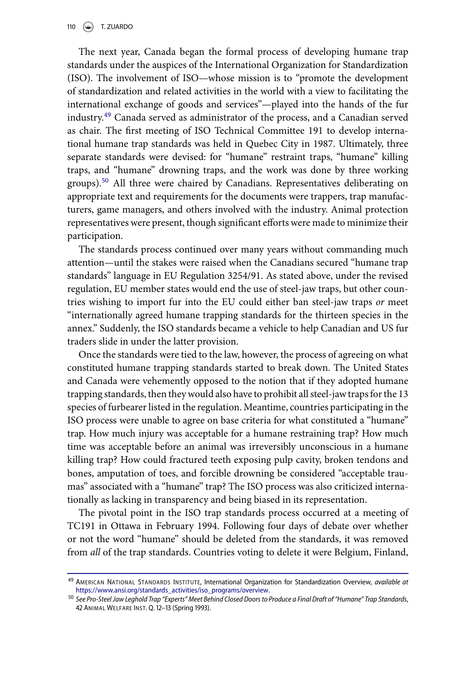The next year, Canada began the formal process of developing humane trap standards under the auspices of the International Organization for Standardization (ISO). The involvement of ISO—whose mission is to "promote the development of standardization and related activities in the world with a view to facilitating the international exchange of goods and services"—played into the hands of the fur industry.[49](#page-10-0) Canada served as administrator of the process, and a Canadian served as chair. The first meeting of ISO Technical Committee 191 to develop international humane trap standards was held in Quebec City in 1987. Ultimately, three separate standards were devised: for "humane" restraint traps, "humane" killing traps, and "humane" drowning traps, and the work was done by three working groups).[50](#page-10-1) All three were chaired by Canadians. Representatives deliberating on appropriate text and requirements for the documents were trappers, trap manufacturers, game managers, and others involved with the industry. Animal protection representatives were present, though significant efforts were made to minimize their participation.

The standards process continued over many years without commanding much attention—until the stakes were raised when the Canadians secured "humane trap standards" language in EU Regulation 3254/91. As stated above, under the revised regulation, EU member states would end the use of steel-jaw traps, but other countries wishing to import fur into the EU could either ban steel-jaw traps *or* meet "internationally agreed humane trapping standards for the thirteen species in the annex." Suddenly, the ISO standards became a vehicle to help Canadian and US fur traders slide in under the latter provision.

Once the standards were tied to the law, however, the process of agreeing on what constituted humane trapping standards started to break down. The United States and Canada were vehemently opposed to the notion that if they adopted humane trapping standards, then they would also have to prohibit all steel-jaw traps for the 13 species of furbearer listed in the regulation. Meantime, countries participating in the ISO process were unable to agree on base criteria for what constituted a "humane" trap. How much injury was acceptable for a humane restraining trap? How much time was acceptable before an animal was irreversibly unconscious in a humane killing trap? How could fractured teeth exposing pulp cavity, broken tendons and bones, amputation of toes, and forcible drowning be considered "acceptable traumas" associated with a "humane" trap? The ISO process was also criticized internationally as lacking in transparency and being biased in its representation.

The pivotal point in the ISO trap standards process occurred at a meeting of TC191 in Ottawa in February 1994. Following four days of debate over whether or not the word "humane" should be deleted from the standards, it was removed from *all* of the trap standards. Countries voting to delete it were Belgium, Finland,

<span id="page-10-0"></span><sup>&</sup>lt;sup>49</sup> AMERICAN NATIONAL STANDARDS INSTITUTE, International Organization for Standardization Overview, available at [https://www.ansi.org/standards\\_activities/iso\\_programs/overview.](https://www.ansi.org/standards_activities/iso_programs/overview)

<span id="page-10-1"></span><sup>&</sup>lt;sup>50</sup> See Pro-Steel Jaw Leghold Trap "Experts" Meet Behind Closed Doors to Produce a Final Draft of "Humane" Trap Standards, 42 ANIMAL WELFARE INST. Q. 12-13 (Spring 1993).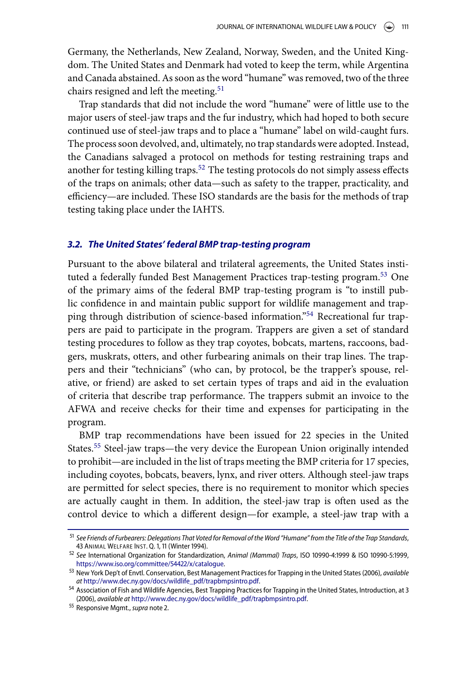Germany, the Netherlands, New Zealand, Norway, Sweden, and the United Kingdom. The United States and Denmark had voted to keep the term, while Argentina and Canada abstained. As soon as the word "humane" was removed, two of the three chairs resigned and left the meeting.<sup>[51](#page-11-0)</sup>

Trap standards that did not include the word "humane" were of little use to the major users of steel-jaw traps and the fur industry, which had hoped to both secure continued use of steel-jaw traps and to place a "humane" label on wild-caught furs. The process soon devolved, and, ultimately, no trap standards were adopted. Instead, the Canadians salvaged a protocol on methods for testing restraining traps and another for testing killing traps.<sup>[52](#page-11-1)</sup> The testing protocols do not simply assess effects of the traps on animals; other data—such as safety to the trapper, practicality, and efficiency—are included. These ISO standards are the basis for the methods of trap testing taking place under the IAHTS.

#### *3.2. The United States' federal BMP trap-testing program*

Pursuant to the above bilateral and trilateral agreements, the United States insti-tuted a federally funded Best Management Practices trap-testing program.<sup>[53](#page-11-2)</sup> One of the primary aims of the federal BMP trap-testing program is "to instill public confidence in and maintain public support for wildlife management and trapping through distribution of science-based information."[54](#page-11-3) Recreational fur trappers are paid to participate in the program. Trappers are given a set of standard testing procedures to follow as they trap coyotes, bobcats, martens, raccoons, badgers, muskrats, otters, and other furbearing animals on their trap lines. The trappers and their "technicians" (who can, by protocol, be the trapper's spouse, relative, or friend) are asked to set certain types of traps and aid in the evaluation of criteria that describe trap performance. The trappers submit an invoice to the AFWA and receive checks for their time and expenses for participating in the program.

BMP trap recommendations have been issued for 22 species in the United States.[55](#page-11-4) Steel-jaw traps—the very device the European Union originally intended to prohibit—are included in the list of traps meeting the BMP criteria for 17 species, including coyotes, bobcats, beavers, lynx, and river otters. Although steel-jaw traps are permitted for select species, there is no requirement to monitor which species are actually caught in them. In addition, the steel-jaw trap is often used as the control device to which a different design—for example, a steel-jaw trap with a

<span id="page-11-0"></span><sup>&</sup>lt;sup>51</sup> See Friends of Furbearers: Delegations That Voted for Removal of the Word "Humane" from the Title of the Trap Standards, 43 ANIMAL WELFARE INST. Q. 1, 11 (Winter 1994).

<span id="page-11-1"></span> $52$  See International Organization for Standardization, Animal (Mammal) Traps, ISO 10990-4:1999 & ISO 10990-5:1999, https://www.iso.org/committee/54422/x/catalogue.

<span id="page-11-2"></span><sup>53</sup> New York Dep't of Envtl. Conservation, Best Management Practices for Trapping in the United States (2006), available at [http://www.dec.ny.gov/docs/wildlife\\_pdf/trapbmpsintro.pdf.](http://www.dec.ny.gov/docs/wildlife_pdf/trapbmpsintro.pdf)

<span id="page-11-3"></span><sup>54</sup> Association of Fish and Wildlife Agencies, Best Trapping Practices for Trapping in the United States, Introduction, at 3 (2006), available at [http://www.dec.ny.gov/docs/wildlife\\_pdf/trapbmpsintro.pdf.](http://www.dec.ny.gov/docs/wildlife_pdf/trapbmpsintro.pdf)

<span id="page-11-4"></span><sup>55</sup> Responsive Mgmt., supra note 2.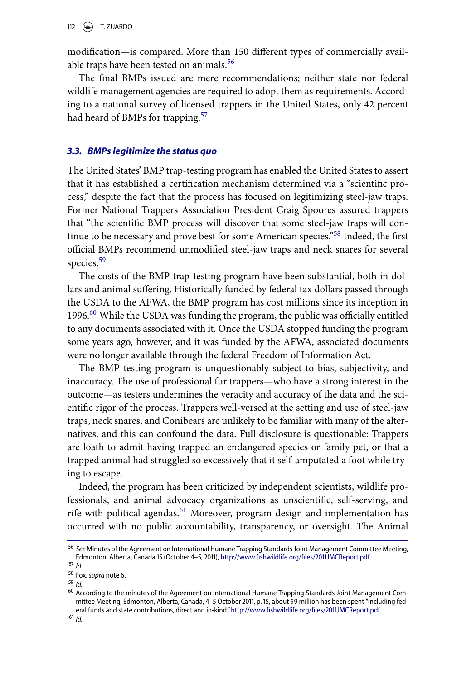modification—is compared. More than 150 different types of commercially avail-able traps have been tested on animals.<sup>[56](#page-12-0)</sup>

The final BMPs issued are mere recommendations; neither state nor federal wildlife management agencies are required to adopt them as requirements. According to a national survey of licensed trappers in the United States, only 42 percent had heard of BMPs for trapping.<sup>[57](#page-12-1)</sup>

#### *3.3. BMPs legitimize the status quo*

The United States' BMP trap-testing program has enabled the United States to assert that it has established a certification mechanism determined via a "scientific process," despite the fact that the process has focused on legitimizing steel-jaw traps. Former National Trappers Association President Craig Spoores assured trappers that "the scientific BMP process will discover that some steel-jaw traps will continue to be necessary and prove best for some American species."[58](#page-12-2) Indeed, the first official BMPs recommend unmodified steel-jaw traps and neck snares for several species.<sup>[59](#page-12-3)</sup>

The costs of the BMP trap-testing program have been substantial, both in dollars and animal suffering. Historically funded by federal tax dollars passed through the USDA to the AFWA, the BMP program has cost millions since its inception in 1996.[60](#page-12-4) While the USDA was funding the program, the public was officially entitled to any documents associated with it. Once the USDA stopped funding the program some years ago, however, and it was funded by the AFWA, associated documents were no longer available through the federal Freedom of Information Act.

The BMP testing program is unquestionably subject to bias, subjectivity, and inaccuracy. The use of professional fur trappers—who have a strong interest in the outcome—as testers undermines the veracity and accuracy of the data and the scientific rigor of the process. Trappers well-versed at the setting and use of steel-jaw traps, neck snares, and Conibears are unlikely to be familiar with many of the alternatives, and this can confound the data. Full disclosure is questionable: Trappers are loath to admit having trapped an endangered species or family pet, or that a trapped animal had struggled so excessively that it self-amputated a foot while trying to escape.

Indeed, the program has been criticized by independent scientists, wildlife professionals, and animal advocacy organizations as unscientific, self-serving, and rife with political agendas.<sup>[61](#page-12-5)</sup> Moreover, program design and implementation has occurred with no public accountability, transparency, or oversight. The Animal

<span id="page-12-0"></span><sup>&</sup>lt;sup>56</sup> See Minutes of the Agreement on International Humane Trapping Standards Joint Management Committee Meeting, Edmonton, Alberta, Canada 15 (October 4-5, 2011), http://www.fishwildlife.org/files/2011JMCReport.pdf.  $57$  Id.

<span id="page-12-2"></span><span id="page-12-1"></span><sup>&</sup>lt;sup>58</sup> Fox, supra note 6.

<span id="page-12-3"></span> $59$  Id.

<span id="page-12-5"></span><span id="page-12-4"></span><sup>&</sup>lt;sup>60</sup> According to the minutes of the Agreement on International Humane Trapping Standards Joint Management Committee Meeting, Edmonton, Alberta, Canada, 4-5 October 2011, p. 15, about \$9 million has been spent "including federal funds and state contributions, direct and in-kind." http://www.fishwildlife.org/files/2011JMCReport.pdf.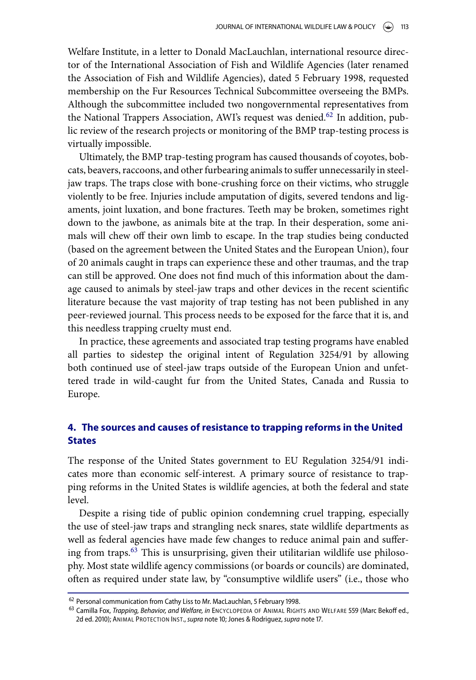Welfare Institute, in a letter to Donald MacLauchlan, international resource director of the International Association of Fish and Wildlife Agencies (later renamed the Association of Fish and Wildlife Agencies), dated 5 February 1998, requested membership on the Fur Resources Technical Subcommittee overseeing the BMPs. Although the subcommittee included two nongovernmental representatives from the National Trappers Association, AWI's request was denied.<sup>[62](#page-13-1)</sup> In addition, public review of the research projects or monitoring of the BMP trap-testing process is virtually impossible.

Ultimately, the BMP trap-testing program has caused thousands of coyotes, bobcats, beavers, raccoons, and other furbearing animals to suffer unnecessarily in steeljaw traps. The traps close with bone-crushing force on their victims, who struggle violently to be free. Injuries include amputation of digits, severed tendons and ligaments, joint luxation, and bone fractures. Teeth may be broken, sometimes right down to the jawbone, as animals bite at the trap. In their desperation, some animals will chew off their own limb to escape. In the trap studies being conducted (based on the agreement between the United States and the European Union), four of 20 animals caught in traps can experience these and other traumas, and the trap can still be approved. One does not find much of this information about the damage caused to animals by steel-jaw traps and other devices in the recent scientific literature because the vast majority of trap testing has not been published in any peer-reviewed journal. This process needs to be exposed for the farce that it is, and this needless trapping cruelty must end.

In practice, these agreements and associated trap testing programs have enabled all parties to sidestep the original intent of Regulation 3254/91 by allowing both continued use of steel-jaw traps outside of the European Union and unfettered trade in wild-caught fur from the United States, Canada and Russia to Europe.

# <span id="page-13-0"></span>**4. The sources and causes of resistance to trapping reforms in the United States**

The response of the United States government to EU Regulation 3254/91 indicates more than economic self-interest. A primary source of resistance to trapping reforms in the United States is wildlife agencies, at both the federal and state level.

Despite a rising tide of public opinion condemning cruel trapping, especially the use of steel-jaw traps and strangling neck snares, state wildlife departments as well as federal agencies have made few changes to reduce animal pain and suffering from traps. $^{63}$  $^{63}$  $^{63}$  This is unsurprising, given their utilitarian wildlife use philosophy. Most state wildlife agency commissions (or boards or councils) are dominated, often as required under state law, by "consumptive wildlife users" (i.e., those who

<span id="page-13-1"></span><sup>&</sup>lt;sup>62</sup> Personal communication from Cathy Liss to Mr. MacLauchlan, 5 February 1998.

<span id="page-13-2"></span><sup>63</sup> Camilla Fox, Trapping, Behavior, and Welfare, in ENCYCLOPEDIA OF ANIMAL RIGHTS AND WELFARE 559 (Marc Bekoff ed., 2d ed. 2010); ANIMAL PROTECTION INST., supra note 10; Jones & Rodriguez, supra note 17.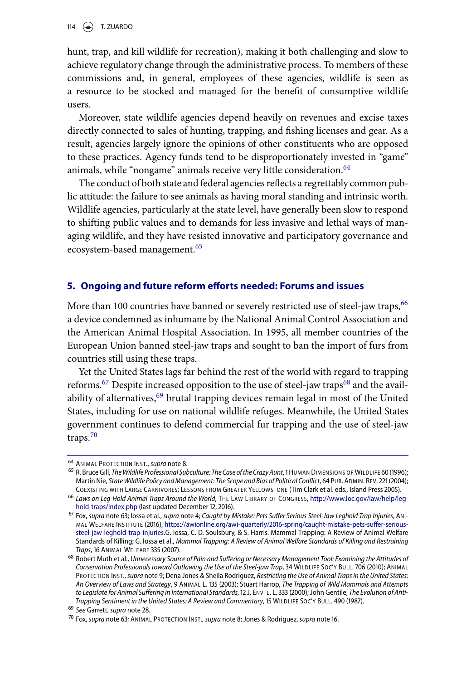hunt, trap, and kill wildlife for recreation), making it both challenging and slow to achieve regulatory change through the administrative process. To members of these commissions and, in general, employees of these agencies, wildlife is seen as a resource to be stocked and managed for the benefit of consumptive wildlife users.

Moreover, state wildlife agencies depend heavily on revenues and excise taxes directly connected to sales of hunting, trapping, and fishing licenses and gear. As a result, agencies largely ignore the opinions of other constituents who are opposed to these practices. Agency funds tend to be disproportionately invested in "game" animals, while "nongame" animals receive very little consideration.<sup>[64](#page-14-1)</sup>

The conduct of both state and federal agencies reflects a regrettably common public attitude: the failure to see animals as having moral standing and intrinsic worth. Wildlife agencies, particularly at the state level, have generally been slow to respond to shifting public values and to demands for less invasive and lethal ways of managing wildlife, and they have resisted innovative and participatory governance and ecosystem-based management.<sup>[65](#page-14-2)</sup>

# <span id="page-14-0"></span>**5. Ongoing and future reform efforts needed: Forums and issues**

More than 100 countries have banned or severely restricted use of steel-jaw traps,<sup>[66](#page-14-3)</sup> a device condemned as inhumane by the National Animal Control Association and the American Animal Hospital Association. In 1995, all member countries of the European Union banned steel-jaw traps and sought to ban the import of furs from countries still using these traps.

Yet the United States lags far behind the rest of the world with regard to trapping reforms.<sup>[67](#page-14-4)</sup> Despite increased opposition to the use of steel-jaw traps<sup>[68](#page-14-5)</sup> and the avail-ability of alternatives,<sup>[69](#page-14-6)</sup> brutal trapping devices remain legal in most of the United States, including for use on national wildlife refuges. Meanwhile, the United States government continues to defend commercial fur trapping and the use of steel-jaw traps.[70](#page-14-7)

<span id="page-14-1"></span><sup>64</sup> ANIMAL PROTECTION INST., supra note 8.

<span id="page-14-2"></span><sup>65</sup> R. Bruce Gill, The Wildlife Professional Subculture: The Case of the Crazy Aunt, 1 HUMAN DIMENSIONS OF WILDLIFE 60 (1996); Martin Nie, State Wildlife Policy and Management: The Scope and Bias of Political Conflict, 64 PuB. ADMIN. REV. 221 (2004); COEXISTING WITH LARGE CARNIVORES: LESSONS FROM GREATER YELLOWSTONE (Tim Clark et al. eds., Island Press 2005).

<span id="page-14-3"></span><sup>&</sup>lt;sup>66</sup> [Laws on Leg-Hold Animal Traps Around the World](http://www.loc.gov/law/help/leg-hold-traps/index.php), THE LAW LIBRARY OF CONGRESS, http://www.loc.gov/law/help/leghold-traps/index.php (last updated December 12, 2016).

<span id="page-14-4"></span> $^{67}$  Fox, supra note 63; lossa et al., supra note 4; Caught by Mistake: Pets Suffer Serious Steel-Jaw Leghold Trap Injuries, ANI-MAL WELFARE INSTITUTE (2016), https://awionline.org/awi-quarterly/2016-spring/caught-mistake-pets-suffer-serious[steel-jaw-leghold-trap-injuries.G. Iossa, C. D. Soulsbury, & S. Harris. Mammal Trapping: A Review of Animal Welfare](https://awionline.org/awi-quarterly/2016-spring/caught-mistake-pets-suffer-serious-steel-jaw-leghold-trap-injuries) Standards of Killing; G. Iossa et al., Mammal Trapping: A Review of Animal Welfare Standards of Killing and Restraining Traps, 16 ANIMAL WELFARE 335 (2007).

<span id="page-14-5"></span><sup>&</sup>lt;sup>68</sup> Robert Muth et al., Unnecessary Source of Pain and Suffering or Necessary Management Tool: Examining the Attitudes of Conservation Professionals toward Outlawing the Use of the Steel-jaw Trap, 34 WILDLIFE SOC'Y BULL. 706 (2010); ANIMAL PROTECTION INST., supra note 9; Dena Jones & Sheila Rodriquez, Restricting the Use of Animal Traps in the United States: An Overview of Laws and Strategy, 9 ANIMAL L. 135 (2003); Stuart Harrop, The Trapping of Wild Mammals and Attempts to Legislate for Animal Suffering in International Standards, 12 J. ENVTL. L. 333 (2000); John Gentile, The Evolution of Anti-Trapping Sentiment in the United States: A Review and Commentary, 15 WILDLIFE SOC'Y BULL. 490 (1987).

<span id="page-14-6"></span><sup>69</sup> See Garrett, supra note 28.

<span id="page-14-7"></span> $^{70}$  Fox, supra note 63; ANIMAL PROTECTION INST., supra note 8; Jones & Rodriguez, supra note 16.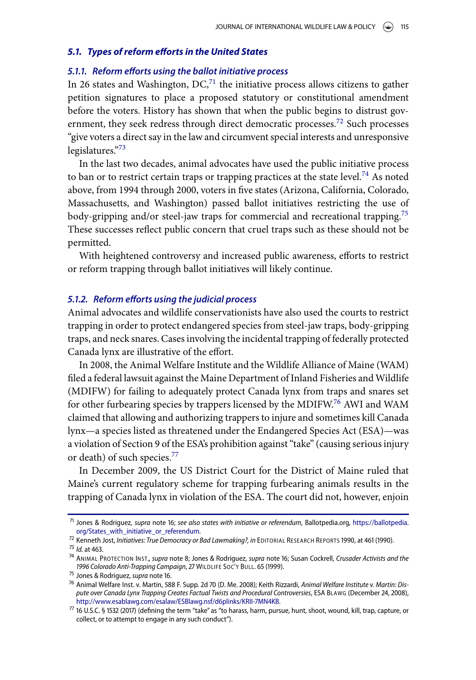# *5.1. Types of reform efforts in the United States*

# *... Reform efforts using the ballot initiative process*

In 26 states and Washington,  $DC<sub>1</sub><sup>71</sup>$  $DC<sub>1</sub><sup>71</sup>$  $DC<sub>1</sub><sup>71</sup>$  the initiative process allows citizens to gather petition signatures to place a proposed statutory or constitutional amendment before the voters. History has shown that when the public begins to distrust gov-ernment, they seek redress through direct democratic processes.<sup>[72](#page-15-1)</sup> Such processes "give voters a direct say in the law and circumvent special interests and unresponsive legislatures."[73](#page-15-2)

In the last two decades, animal advocates have used the public initiative process to ban or to restrict certain traps or trapping practices at the state level.<sup>[74](#page-15-3)</sup> As noted above, from 1994 through 2000, voters in five states (Arizona, California, Colorado, Massachusetts, and Washington) passed ballot initiatives restricting the use of body-gripping and/or steel-jaw traps for commercial and recreational trapping.<sup>[75](#page-15-4)</sup> These successes reflect public concern that cruel traps such as these should not be permitted.

With heightened controversy and increased public awareness, efforts to restrict or reform trapping through ballot initiatives will likely continue.

### *... Reform efforts using the judicial process*

Animal advocates and wildlife conservationists have also used the courts to restrict trapping in order to protect endangered species from steel-jaw traps, body-gripping traps, and neck snares. Cases involving the incidental trapping of federally protected Canada lynx are illustrative of the effort.

In 2008, the Animal Welfare Institute and the Wildlife Alliance of Maine (WAM) filed a federal lawsuit against the Maine Department of Inland Fisheries and Wildlife (MDIFW) for failing to adequately protect Canada lynx from traps and snares set for other furbearing species by trappers licensed by the MDIFW.[76](#page-15-5) AWI and WAM claimed that allowing and authorizing trappers to injure and sometimes kill Canada lynx—a species listed as threatened under the Endangered Species Act (ESA)—was a violation of Section 9 of the ESA's prohibition against "take" (causing serious injury or death) of such species.[77](#page-15-6)

In December 2009, the US District Court for the District of Maine ruled that Maine's current regulatory scheme for trapping furbearing animals results in the trapping of Canada lynx in violation of the ESA. The court did not, however, enjoin

<span id="page-15-0"></span> $71$  Jones & Rodriguez, supra note 16; see also states with initiative or referendum, Ballotpedia.org, https://ballotpedia. [org/States\\_with\\_initiative\\_or\\_referendum.](https://ballotpedia.org/States_with_initiative_or_referendum)

<span id="page-15-1"></span><sup>72</sup> Kenneth Jost, *Initiatives: True Democracy or Bad Lawmaking?*, *in* EDITORIAL RESEARCH REPORTS 1990, at 461 (1990).

<span id="page-15-2"></span> $73$  *Id.* at 463.

<span id="page-15-3"></span><sup>74</sup> ANIMAL PROTECTION INST., supra note 8; Jones & Rodriguez, supra note 16; Susan Cockrell, Crusader Activists and the 1996 Colorado Anti-Trapping Campaign, 27 WILDLIFE SOC'Y BULL. 65 (1999).

<span id="page-15-4"></span><sup>&</sup>lt;sup>75</sup> Jones & Rodriguez, supra note 16.

<span id="page-15-5"></span><sup>&</sup>lt;sup>76</sup> Animal Welfare Inst. v. Martin, 588 F. Supp. 2d 70 (D. Me. 2008); Keith Rizzardi, Animal Welfare Institute v. Martin: Dispute over Canada Lynx Trapping Creates Factual Twists and Procedural Controversies, ESA BLAWG (December 24, 2008), http://www.esablawg.com/esalaw/ESBlawg.nsf/d6plinks/KRII-7MN4KB.

<span id="page-15-6"></span> $\frac{7}{16}$  16 U.S.C. § 1532 (2017) (defining the term "take" as "to harass, harm, pursue, hunt, shoot, wound, kill, trap, capture, or collect, or to attempt to engage in any such conduct").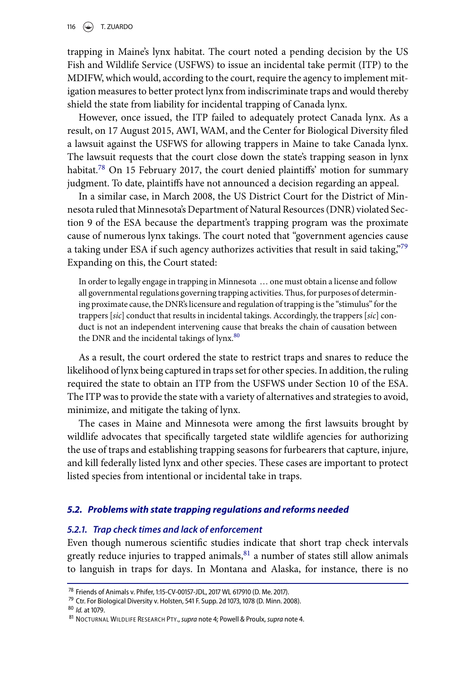trapping in Maine's lynx habitat. The court noted a pending decision by the US Fish and Wildlife Service (USFWS) to issue an incidental take permit (ITP) to the MDIFW, which would, according to the court, require the agency to implement mitigation measures to better protect lynx from indiscriminate traps and would thereby shield the state from liability for incidental trapping of Canada lynx.

However, once issued, the ITP failed to adequately protect Canada lynx. As a result, on 17 August 2015, AWI, WAM, and the Center for Biological Diversity filed a lawsuit against the USFWS for allowing trappers in Maine to take Canada lynx. The lawsuit requests that the court close down the state's trapping season in lynx habitat.<sup>[78](#page-16-0)</sup> On 15 February 2017, the court denied plaintiffs' motion for summary judgment. To date, plaintiffs have not announced a decision regarding an appeal.

In a similar case, in March 2008, the US District Court for the District of Minnesota ruled that Minnesota's Department of Natural Resources (DNR) violated Section 9 of the ESA because the department's trapping program was the proximate cause of numerous lynx takings. The court noted that "government agencies cause a taking under ESA if such agency authorizes activities that result in said taking,"[79](#page-16-1) Expanding on this, the Court stated:

In order to legally engage in trapping in Minnesota … one must obtain a license and follow all governmental regulations governing trapping activities. Thus, for purposes of determining proximate cause, the DNR's licensure and regulation of trapping is the "stimulus" for the trappers [*sic*] conduct that results in incidental takings. Accordingly, the trappers [*sic*] conduct is not an independent intervening cause that breaks the chain of causation between the DNR and the incidental takings of lynx.<sup>[80](#page-16-2)</sup>

As a result, the court ordered the state to restrict traps and snares to reduce the likelihood of lynx being captured in traps set for other species. In addition, the ruling required the state to obtain an ITP from the USFWS under Section 10 of the ESA. The ITP was to provide the state with a variety of alternatives and strategies to avoid, minimize, and mitigate the taking of lynx.

The cases in Maine and Minnesota were among the first lawsuits brought by wildlife advocates that specifically targeted state wildlife agencies for authorizing the use of traps and establishing trapping seasons for furbearers that capture, injure, and kill federally listed lynx and other species. These cases are important to protect listed species from intentional or incidental take in traps.

# *5.2. Problems with state trapping regulations and reforms needed*

# *... Trap check times and lack of enforcement*

Even though numerous scientific studies indicate that short trap check intervals greatly reduce injuries to trapped animals, $81$  a number of states still allow animals to languish in traps for days. In Montana and Alaska, for instance, there is no

<span id="page-16-2"></span>80 *Id.* at 1079.

<span id="page-16-0"></span><sup>&</sup>lt;sup>78</sup> Friends of Animals v. Phifer, 1:15-CV-00157-JDL, 2017 WL 617910 (D. Me. 2017).

<span id="page-16-1"></span><sup>79</sup> Ctr. For Biological Diversity v. Holsten, 541 F. Supp. 2d 1073, 1078 (D. Minn. 2008).

<span id="page-16-3"></span><sup>81</sup> NOCTURNAL WILDLIFE RESEARCH PTY., supra note 4; Powell & Proulx, supra note 4.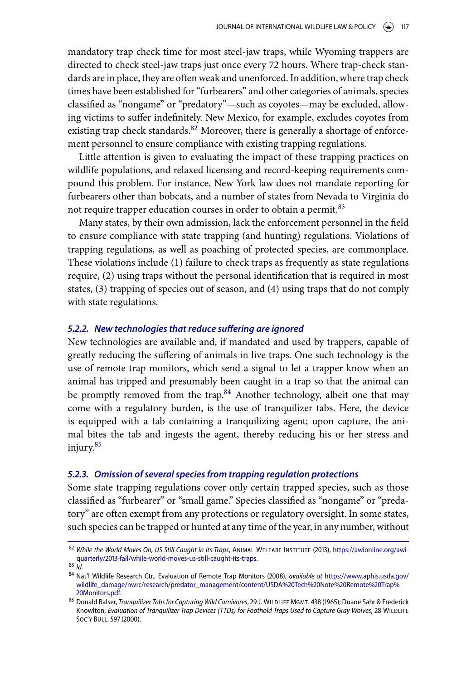mandatory trap check time for most steel-jaw traps, while Wyoming trappers are directed to check steel-jaw traps just once every 72 hours. Where trap-check standards are in place, they are often weak and unenforced. In addition, where trap check times have been established for "furbearers" and other categories of animals, species classified as "nongame" or "predatory"—such as coyotes—may be excluded, allowing victims to suffer indefinitely. New Mexico, for example, excludes coyotes from existing trap check standards.<sup>[82](#page-17-0)</sup> Moreover, there is generally a shortage of enforcement personnel to ensure compliance with existing trapping regulations.

Little attention is given to evaluating the impact of these trapping practices on wildlife populations, and relaxed licensing and record-keeping requirements compound this problem. For instance, New York law does not mandate reporting for furbearers other than bobcats, and a number of states from Nevada to Virginia do not require trapper education courses in order to obtain a permit.<sup>[83](#page-17-1)</sup>

Many states, by their own admission, lack the enforcement personnel in the field to ensure compliance with state trapping (and hunting) regulations. Violations of trapping regulations, as well as poaching of protected species, are commonplace. These violations include (1) failure to check traps as frequently as state regulations require, (2) using traps without the personal identification that is required in most states, (3) trapping of species out of season, and (4) using traps that do not comply with state regulations.

#### *... New technologies that reduce suffering are ignored*

New technologies are available and, if mandated and used by trappers, capable of greatly reducing the suffering of animals in live traps. One such technology is the use of remote trap monitors, which send a signal to let a trapper know when an animal has tripped and presumably been caught in a trap so that the animal can be promptly removed from the trap. $84$  Another technology, albeit one that may come with a regulatory burden, is the use of tranquilizer tabs. Here, the device is equipped with a tab containing a tranquilizing agent; upon capture, the animal bites the tab and ingests the agent, thereby reducing his or her stress and injury.[85](#page-17-3)

#### *... Omission of several species from trapping regulation protections*

Some state trapping regulations cover only certain trapped species, such as those classified as "furbearer" or "small game." Species classified as "nongame" or "predatory" are often exempt from any protections or regulatory oversight. In some states, such species can be trapped or hunted at any time of the year, in any number, without

<span id="page-17-0"></span><sup>82</sup> While the World Moves On, US Still Caught in Its Traps, ANIMAL WELFARE INSTITUTE (2013), https://awionline.org/awiquarterly/2013-fall/while-world-moves-us-still-caught-its-traps.

<span id="page-17-1"></span> $83$  Id.

<span id="page-17-2"></span><sup>84</sup> Nat'l Wildlife Research Ctr., Evaluation of Remote Trap Monitors (2008), available at https://www.aphis.usda.gov/ wildlife\_damage/nwrc/research/predator\_management/content/USDA%20Tech%20Note%20Remote%20Trap% 20Monitors.pdf.

<span id="page-17-3"></span><sup>85</sup> Donald Balser, Tranquilizer Tabs for Capturing Wild Carnivores, 29 J. WILDLIFE MGMT. 438 (1965); Duane Sahr & Frederick Knowlton, Evaluation of Tranquilizer Trap Devices (TTDs) for Foothold Traps Used to Capture Gray Wolves, 28 WILDLIFE SOC'Y BULL. 597 (2000).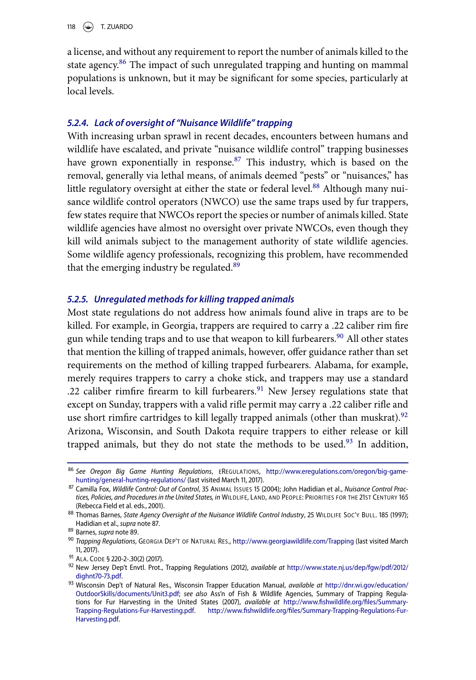a license, and without any requirement to report the number of animals killed to the state agency.<sup>[86](#page-18-0)</sup> The impact of such unregulated trapping and hunting on mammal populations is unknown, but it may be significant for some species, particularly at local levels.

# *... Lack of oversight of "Nuisance Wildlife" trapping*

With increasing urban sprawl in recent decades, encounters between humans and wildlife have escalated, and private "nuisance wildlife control" trapping businesses have grown exponentially in response.<sup>[87](#page-18-1)</sup> This industry, which is based on the removal, generally via lethal means, of animals deemed "pests" or "nuisances," has little regulatory oversight at either the state or federal level.<sup>[88](#page-18-2)</sup> Although many nuisance wildlife control operators (NWCO) use the same traps used by fur trappers, few states require that NWCOs report the species or number of animals killed. State wildlife agencies have almost no oversight over private NWCOs, even though they kill wild animals subject to the management authority of state wildlife agencies. Some wildlife agency professionals, recognizing this problem, have recommended that the emerging industry be regulated.<sup>[89](#page-18-3)</sup>

# *... Unregulated methods for killing trapped animals*

Most state regulations do not address how animals found alive in traps are to be killed. For example, in Georgia, trappers are required to carry a .22 caliber rim fire gun while tending traps and to use that weapon to kill furbearers.<sup>[90](#page-18-4)</sup> All other states that mention the killing of trapped animals, however, offer guidance rather than set requirements on the method of killing trapped furbearers. Alabama, for example, merely requires trappers to carry a choke stick, and trappers may use a standard .22 caliber rimfire firearm to kill furbearers.<sup>[91](#page-18-5)</sup> New Jersey regulations state that except on Sunday, trappers with a valid rifle permit may carry a .22 caliber rifle and use short rimfire cartridges to kill legally trapped animals (other than muskrat).<sup>[92](#page-18-6)</sup> Arizona, Wisconsin, and South Dakota require trappers to either release or kill trapped animals, but they do not state the methods to be used.<sup>[93](#page-18-7)</sup> In addition,

<span id="page-18-0"></span><sup>86</sup> See Oregon Big Game Hunting Regulations, EREGULATIONS, [http://www.eregulations.com/oregon/big-game](http://www.eregulations.com/oregon/big-game-hunting/general-hunting-regulations/)hunting/general-hunting-regulations/ (last visited March 11, 2017).

<span id="page-18-1"></span><sup>87</sup> Camilla Fox, Wildlife Control: Out of Control, 35 ANIMAL ISSUES 15 (2004); John Hadidian et al., Nuisance Control Practices, Policies, and Procedures in the United States, in WILDLIFE, LAND, AND PEOPLE: PRIORITIES FOR THE 21ST CENTURY 165 (Rebecca Field et al. eds., 2001).

<span id="page-18-2"></span><sup>88</sup> Thomas Barnes, State Agency Oversight of the Nuisance Wildlife Control Industry, 25 WILDLIFE Soc'y BULL. 185 (1997); Hadidian et al., supra note 87.

<span id="page-18-3"></span><sup>89</sup> Barnes, supra note 89.

<span id="page-18-4"></span><sup>90</sup> Trapping Regulations, GEORGIA DEP'T OF NATURAL RES., <http://www.georgiawildlife.com/Trapping> (last visited March 11, 2017).

<span id="page-18-5"></span><sup>91</sup> ALA. CODE § 220-2-.30(2) (2017).

<span id="page-18-6"></span><sup>&</sup>lt;sup>92</sup> New Jersey Dep't Envtl. Prot., Trapping Regulations (2012), available at http://www.state.nj.us/dep/fgw/pdf/2012/ dighnt70-73.pdf.

<span id="page-18-7"></span><sup>93</sup> [Wisconsin Dep't of Natural Res., Wisconsin Trapper Education Manual,](http://dnr.wi.gov/education/OutdoorSkills/documents/Unit3.pdf) available at http://dnr.wi.gov/education/ OutdoorSkills/documents/Unit3.pdf; see also Ass'n of Fish & Wildlife Agencies, Summary of Trapping Regulations for Fur Harvesting in the United States (2007), available at http://www.fishwildlife.org/files/Summary-Trapping-Regulations-Fur-Harvesting.pdf. [http://www.fishwildlife.org/files/Summary-Trapping-Regulations-Fur-](http://www.fishwildlife.org/files/Summary-Trapping-Regulations-Fur-Harvesting.pdf)Harvesting.pdf.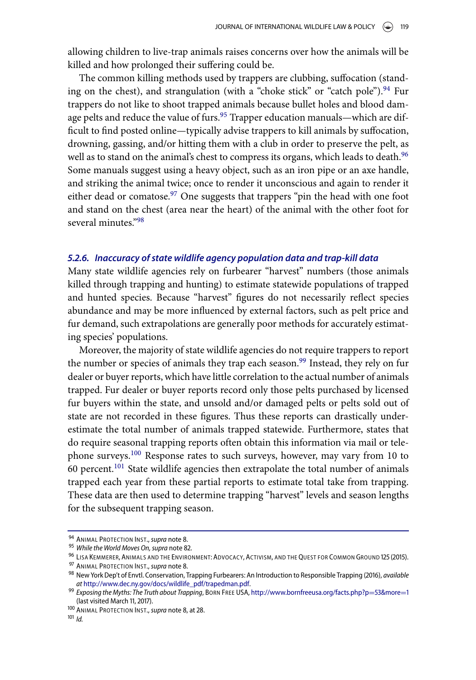allowing children to live-trap animals raises concerns over how the animals will be killed and how prolonged their suffering could be.

The common killing methods used by trappers are clubbing, suffocation (stand-ing on the chest), and strangulation (with a "choke stick" or "catch pole").<sup>[94](#page-19-0)</sup> Fur trappers do not like to shoot trapped animals because bullet holes and blood dam-age pelts and reduce the value of furs.<sup>[95](#page-19-1)</sup> Trapper education manuals—which are difficult to find posted online—typically advise trappers to kill animals by suffocation, drowning, gassing, and/or hitting them with a club in order to preserve the pelt, as well as to stand on the animal's chest to compress its organs, which leads to death.<sup>[96](#page-19-2)</sup> Some manuals suggest using a heavy object, such as an iron pipe or an axe handle, and striking the animal twice; once to render it unconscious and again to render it either dead or comatose.<sup>[97](#page-19-3)</sup> One suggests that trappers "pin the head with one foot and stand on the chest (area near the heart) of the animal with the other foot for several minutes<sup>"[98](#page-19-4)</sup>

#### *... Inaccuracy of state wildlife agency population data and trap-kill data*

Many state wildlife agencies rely on furbearer "harvest" numbers (those animals killed through trapping and hunting) to estimate statewide populations of trapped and hunted species. Because "harvest" figures do not necessarily reflect species abundance and may be more influenced by external factors, such as pelt price and fur demand, such extrapolations are generally poor methods for accurately estimating species' populations.

Moreover, the majority of state wildlife agencies do not require trappers to report the number or species of animals they trap each season.<sup>[99](#page-19-5)</sup> Instead, they rely on fur dealer or buyer reports, which have little correlation to the actual number of animals trapped. Fur dealer or buyer reports record only those pelts purchased by licensed fur buyers within the state, and unsold and/or damaged pelts or pelts sold out of state are not recorded in these figures. Thus these reports can drastically underestimate the total number of animals trapped statewide. Furthermore, states that do require seasonal trapping reports often obtain this information via mail or telephone surveys.[100](#page-19-6) Response rates to such surveys, however, may vary from 10 to 60 percent. $^{101}$  $^{101}$  $^{101}$  State wildlife agencies then extrapolate the total number of animals trapped each year from these partial reports to estimate total take from trapping. These data are then used to determine trapping "harvest" levels and season lengths for the subsequent trapping season.

<span id="page-19-0"></span><sup>94</sup> ANIMAL PROTECTION INST., supra note 8.

<span id="page-19-1"></span><sup>&</sup>lt;sup>95</sup> While the World Moves On, supra note 82.

<span id="page-19-2"></span><sup>&</sup>lt;sup>96</sup> LISA KEMMERER, ANIMALS AND THE ENVIRONMENT: ADVOCACY, ACTIVISM, AND THE QUEST FOR COMMON GROUND 125 (2015).

<span id="page-19-3"></span><sup>97</sup> ANIMAL PROTECTION INST., supra note 8.

<span id="page-19-4"></span><sup>98</sup> New York Dep't of Envtl. Conservation, Trapping Furbearers: An Introduction to Responsible Trapping (2016), available at [http://www.dec.ny.gov/docs/wildlife\\_pdf/trapedman.pdf.](http://www.dec.ny.gov/docs/wildlife_pdf/trapedman.pdf)

<span id="page-19-5"></span><sup>99</sup> Exposing the Myths: The Truth about Trapping, BORN FREE USA, [http://www.bornfreeusa.org/facts.php?p](http://www.bornfreeusa.org/facts.php?p=53&more=1)=53&more=1 (last visited March 11, 2017).

<span id="page-19-7"></span><span id="page-19-6"></span><sup>100</sup> ANIMAL PROTECTION INST., supra note 8, at 28.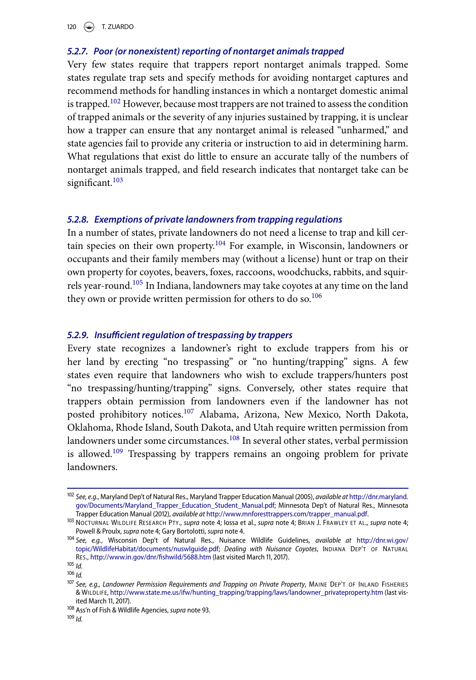#### 120 T. ZUARDO

# *... Poor (or nonexistent) reporting of nontarget animals trapped*

Very few states require that trappers report nontarget animals trapped. Some states regulate trap sets and specify methods for avoiding nontarget captures and recommend methods for handling instances in which a nontarget domestic animal is trapped.<sup>[102](#page-20-0)</sup> However, because most trappers are not trained to assess the condition of trapped animals or the severity of any injuries sustained by trapping, it is unclear how a trapper can ensure that any nontarget animal is released "unharmed," and state agencies fail to provide any criteria or instruction to aid in determining harm. What regulations that exist do little to ensure an accurate tally of the numbers of nontarget animals trapped, and field research indicates that nontarget take can be significant. $103$ 

#### *... Exemptions of private landowners from trapping regulations*

In a number of states, private landowners do not need a license to trap and kill cer-tain species on their own property.<sup>[104](#page-20-2)</sup> For example, in Wisconsin, landowners or occupants and their family members may (without a license) hunt or trap on their own property for coyotes, beavers, foxes, raccoons, woodchucks, rabbits, and squirrels year-round.[105](#page-20-3) In Indiana, landowners may take coyotes at any time on the land they own or provide written permission for others to do so. $106$ 

#### *... Insufficient regulation of trespassing by trappers*

Every state recognizes a landowner's right to exclude trappers from his or her land by erecting "no trespassing" or "no hunting/trapping" signs. A few states even require that landowners who wish to exclude trappers/hunters post "no trespassing/hunting/trapping" signs. Conversely, other states require that trappers obtain permission from landowners even if the landowner has not posted prohibitory notices.[107](#page-20-5) Alabama, Arizona, New Mexico, North Dakota, Oklahoma, Rhode Island, South Dakota, and Utah require written permission from landowners under some circumstances.[108](#page-20-6) In several other states, verbal permission is allowed.<sup>[109](#page-20-7)</sup> Trespassing by trappers remains an ongoing problem for private landowners.

<span id="page-20-0"></span><sup>102</sup> See, e.g., Maryland Dep't of Natural Res., Maryland Trapper Education Manual (2005), available at http://dnr.maryland. [gov/Documents/Maryland\\_Trapper\\_Education\\_Student\\_Manual.pdf; Minnesota Dep't of Natural Res., Minnesota](http://dnr.maryland.gov/Documents/Maryland_Trapper_Education_Student_Manual.pdf) Trapper Education Manual (2012), available at [http://www.mnforesttrappers.com/trapper\\_manual.pdf.](http://www.mnforesttrappers.com/trapper_manual.pdf)

<span id="page-20-1"></span><sup>103</sup> NOCTURNAL WILDLIFE RESEARCH PTY., supra note 4; lossa et al., supra note 4; BRIAN J. FRAWLEY ET AL., supra note 4; Powell & Proulx, supra note 4; Gary Bortolotti, supra note 4.

<span id="page-20-2"></span><sup>104</sup> See, e.g.[, Wisconsin Dep't of Natural Res., Nuisance Wildlife Guidelines,](http://dnr.wi.gov/topic/WildlifeHabitat/documents/nuswlguide.pdf) available at http://dnr.wi.gov/ topic/WildlifeHabitat/documents/nuswlguide.pdf; Dealing with Nuisance Coyotes, INDIANA DEP'T OF NATURAL RES., http://www.in.gov/dnr/fishwild/5688.htm (last visited March 11, 2017).  $105$  *Id.* 

<span id="page-20-4"></span><span id="page-20-3"></span> $106$  *Id.* 

<span id="page-20-5"></span><sup>107</sup> See, e.g., Landowner Permission Requirements and Trapping on Private Property, MAINE DEP'T OF INLAND FISHERIES & WILDLIFE, [http://www.state.me.us/ifw/hunting\\_trapping/trapping/laws/landowner\\_privateproperty.htm](http://www.state.me.us/ifw/hunting_trapping/trapping/laws/landowner_privateproperty.htm) (last visited March 11, 2017).

<span id="page-20-6"></span><sup>108</sup> Ass'n of Fish & Wildlife Agencies, supra note 93.

<span id="page-20-7"></span> $109$   $Id.$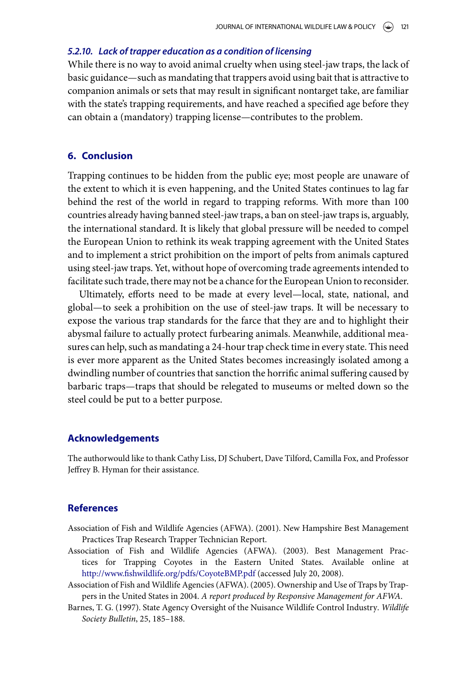# *... Lack of trapper education as a condition of licensing*

While there is no way to avoid animal cruelty when using steel-jaw traps, the lack of basic guidance—such as mandating that trappers avoid using bait that is attractive to companion animals or sets that may result in significant nontarget take, are familiar with the state's trapping requirements, and have reached a specified age before they can obtain a (mandatory) trapping license—contributes to the problem.

# <span id="page-21-0"></span>**6. Conclusion**

Trapping continues to be hidden from the public eye; most people are unaware of the extent to which it is even happening, and the United States continues to lag far behind the rest of the world in regard to trapping reforms. With more than 100 countries already having banned steel-jaw traps, a ban on steel-jaw traps is, arguably, the international standard. It is likely that global pressure will be needed to compel the European Union to rethink its weak trapping agreement with the United States and to implement a strict prohibition on the import of pelts from animals captured using steel-jaw traps. Yet, without hope of overcoming trade agreements intended to facilitate such trade, there may not be a chance for the European Union to reconsider.

Ultimately, efforts need to be made at every level—local, state, national, and global—to seek a prohibition on the use of steel-jaw traps. It will be necessary to expose the various trap standards for the farce that they are and to highlight their abysmal failure to actually protect furbearing animals. Meanwhile, additional measures can help, such as mandating a 24-hour trap check time in every state. This need is ever more apparent as the United States becomes increasingly isolated among a dwindling number of countries that sanction the horrific animal suffering caused by barbaric traps—traps that should be relegated to museums or melted down so the steel could be put to a better purpose.

# **Acknowledgements**

The authorwould like to thank Cathy Liss, DJ Schubert, Dave Tilford, Camilla Fox, and Professor Jeffrey B. Hyman for their assistance.

#### **References**

- Association of Fish and Wildlife Agencies (AFWA). (2001). New Hampshire Best Management Practices Trap Research Trapper Technician Report.
- Association of Fish and Wildlife Agencies (AFWA). (2003). Best Management Practices for Trapping Coyotes in the Eastern United States. Available online at <http://www.fishwildlife.org/pdfs/CoyoteBMP.pdf> (accessed July 20, 2008).
- Association of Fish and Wildlife Agencies (AFWA). (2005). Ownership and Use of Traps by Trappers in the United States in 2004. *A report produced by Responsive Management for AFWA*.
- Barnes, T. G. (1997). State Agency Oversight of the Nuisance Wildlife Control Industry. *Wildlife Society Bulletin*, 25, 185–188.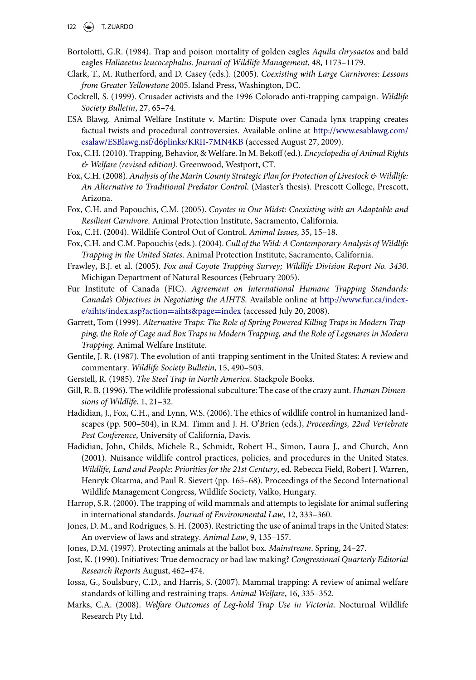- Bortolotti, G.R. (1984). Trap and poison mortality of golden eagles *Aquila chrysaetos* and bald eagles *Haliaeetus leucocephalus*. *Journal of Wildlife Management*, 48, 1173–1179.
- Clark, T., M. Rutherford, and D. Casey (eds.). (2005). *Coexisting with Large Carnivores: Lessons from Greater Yellowstone* 2005. Island Press, Washington, DC.
- Cockrell, S. (1999). Crusader activists and the 1996 Colorado anti-trapping campaign. *Wildlife Society Bulletin*, 27, 65–74.
- ESA Blawg. Animal Welfare Institute v. Martin: Dispute over Canada lynx trapping creates [factual twists and procedural controversies. Available online at](http://www.esablawg.com/esalaw/ESBlawg.nsf/d6plinks/KRII-7MN4KB) http://www.esablawg.com/ esalaw/ESBlawg.nsf/d6plinks/KRII-7MN4KB (accessed August 27, 2009).
- Fox, C.H. (2010). Trapping, Behavior, & Welfare. In M. Bekoff (ed.). *Encyclopedia of Animal Rights & Welfare (revised edition)*. Greenwood, Westport, CT.
- Fox, C.H. (2008). *Analysis of the Marin County Strategic Plan for Protection of Livestock & Wildlife: An Alternative to Traditional Predator Control*. (Master's thesis). Prescott College, Prescott, Arizona.
- Fox, C.H. and Papouchis, C.M. (2005). *Coyotes in Our Midst: Coexisting with an Adaptable and Resilient Carnivore*. Animal Protection Institute, Sacramento, California.
- Fox, C.H. (2004). Wildlife Control Out of Control. *Animal Issues*, 35, 15–18.
- Fox, C.H. and C.M. Papouchis (eds.). (2004). *Cull of the Wild: A Contemporary Analysis of Wildlife Trapping in the United States*. Animal Protection Institute, Sacramento, California.
- Frawley, B.J. et al. (2005). *Fox and Coyote Trapping Survey; Wildlife Division Report No. 3430*. Michigan Department of Natural Resources (February 2005).
- Fur Institute of Canada (FIC). *Agreement on International Humane Trapping Standards: [Canada's Objectives in Negotiating the AIHTS](http://www.fur.ca/index-e/aihts/index.asp?action=aihts&page=index)*. Available online at http://www.fur.ca/indexe/aihts/index.asp?action=aihts&page=index (accessed July 20, 2008).
- Garrett, Tom (1999). *Alternative Traps: The Role of Spring Powered Killing Traps in Modern Trapping, the Role of Cage and Box Traps in Modern Trapping, and the Role of Legsnares in Modern Trapping*. Animal Welfare Institute.
- Gentile, J. R. (1987). The evolution of anti-trapping sentiment in the United States: A review and commentary. *Wildlife Society Bulletin*, 15, 490–503.
- Gerstell, R. (1985). *The Steel Trap in North America*. Stackpole Books.
- Gill, R. B. (1996). The wildlife professional subculture: The case of the crazy aunt. *Human Dimensions of Wildlife*, 1, 21–32.
- Hadidian, J., Fox, C.H., and Lynn, W.S. (2006). The ethics of wildlife control in humanized landscapes (pp. 500–504), in R.M. Timm and J. H. O'Brien (eds.), *Proceedings, 22nd Vertebrate Pest Conference*, University of California, Davis.
- Hadidian, John, Childs, Michele R., Schmidt, Robert H., Simon, Laura J., and Church, Ann (2001). Nuisance wildlife control practices, policies, and procedures in the United States. *Wildlife, Land and People: Priorities for the 21st Century*, ed. Rebecca Field, Robert J. Warren, Henryk Okarma, and Paul R. Sievert (pp. 165–68). Proceedings of the Second International Wildlife Management Congress, Wildlife Society, Valko, Hungary.
- Harrop, S.R. (2000). The trapping of wild mammals and attempts to legislate for animal suffering in international standards. *Journal of Environmental Law*, 12, 333–360.
- Jones, D. M., and Rodrigues, S. H. (2003). Restricting the use of animal traps in the United States: An overview of laws and strategy. *Animal Law*, 9, 135–157.
- Jones, D.M. (1997). Protecting animals at the ballot box. *Mainstream*. Spring, 24–27.
- Jost, K. (1990). Initiatives: True democracy or bad law making? *Congressional Quarterly Editorial Research Reports* August, 462–474.
- Iossa, G., Soulsbury, C.D., and Harris, S. (2007). Mammal trapping: A review of animal welfare standards of killing and restraining traps. *Animal Welfare*, 16, 335–352.
- Marks, C.A. (2008). *Welfare Outcomes of Leg-hold Trap Use in Victoria*. Nocturnal Wildlife Research Pty Ltd.